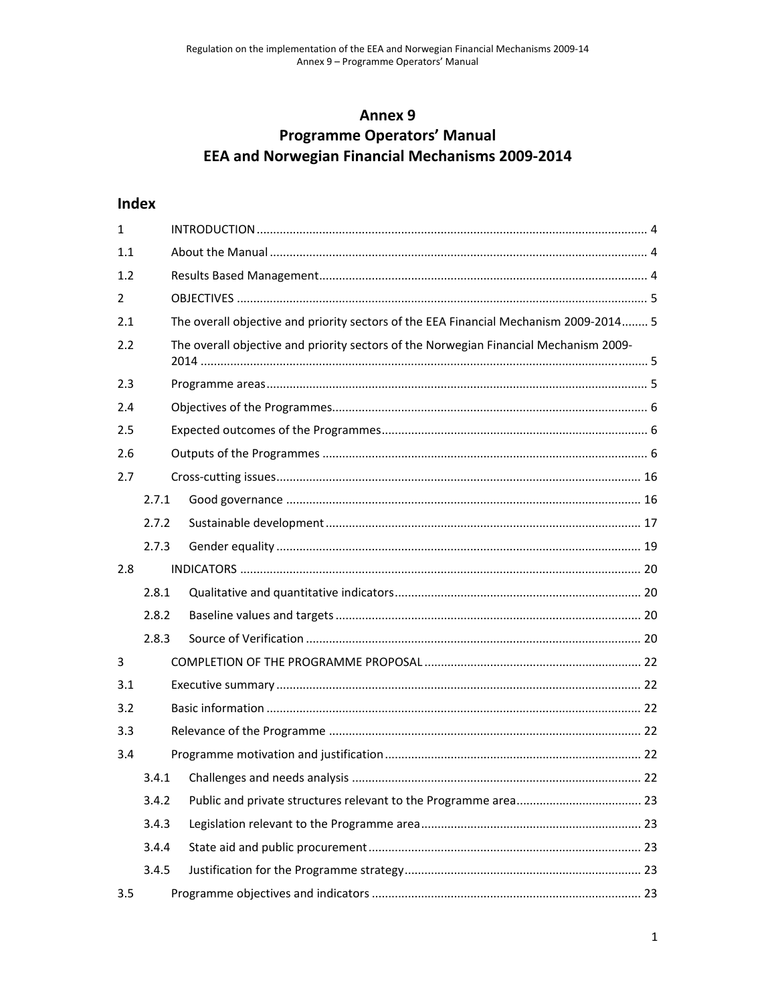# Annex 9 **Programme Operators' Manual EEA and Norwegian Financial Mechanisms 2009-2014**

# **Index**

| $1\,$          |       |                                                                                       |  |
|----------------|-------|---------------------------------------------------------------------------------------|--|
| 1.1            |       |                                                                                       |  |
| 1.2            |       |                                                                                       |  |
| $\overline{2}$ |       |                                                                                       |  |
| 2.1            |       | The overall objective and priority sectors of the EEA Financial Mechanism 2009-2014 5 |  |
| 2.2            |       | The overall objective and priority sectors of the Norwegian Financial Mechanism 2009- |  |
| 2.3            |       |                                                                                       |  |
| 2.4            |       |                                                                                       |  |
| 2.5            |       |                                                                                       |  |
| 2.6            |       |                                                                                       |  |
| 2.7            |       |                                                                                       |  |
|                | 2.7.1 |                                                                                       |  |
|                | 2.7.2 |                                                                                       |  |
|                | 2.7.3 |                                                                                       |  |
| 2.8            |       |                                                                                       |  |
|                | 2.8.1 |                                                                                       |  |
|                | 2.8.2 |                                                                                       |  |
|                | 2.8.3 |                                                                                       |  |
| 3              |       |                                                                                       |  |
| 3.1            |       |                                                                                       |  |
| 3.2            |       |                                                                                       |  |
| 3.3            |       |                                                                                       |  |
| 3.4            |       |                                                                                       |  |
|                | 3.4.1 |                                                                                       |  |
|                | 3.4.2 |                                                                                       |  |
|                | 3.4.3 |                                                                                       |  |
|                | 3.4.4 |                                                                                       |  |
|                | 3.4.5 |                                                                                       |  |
| 3.5            |       |                                                                                       |  |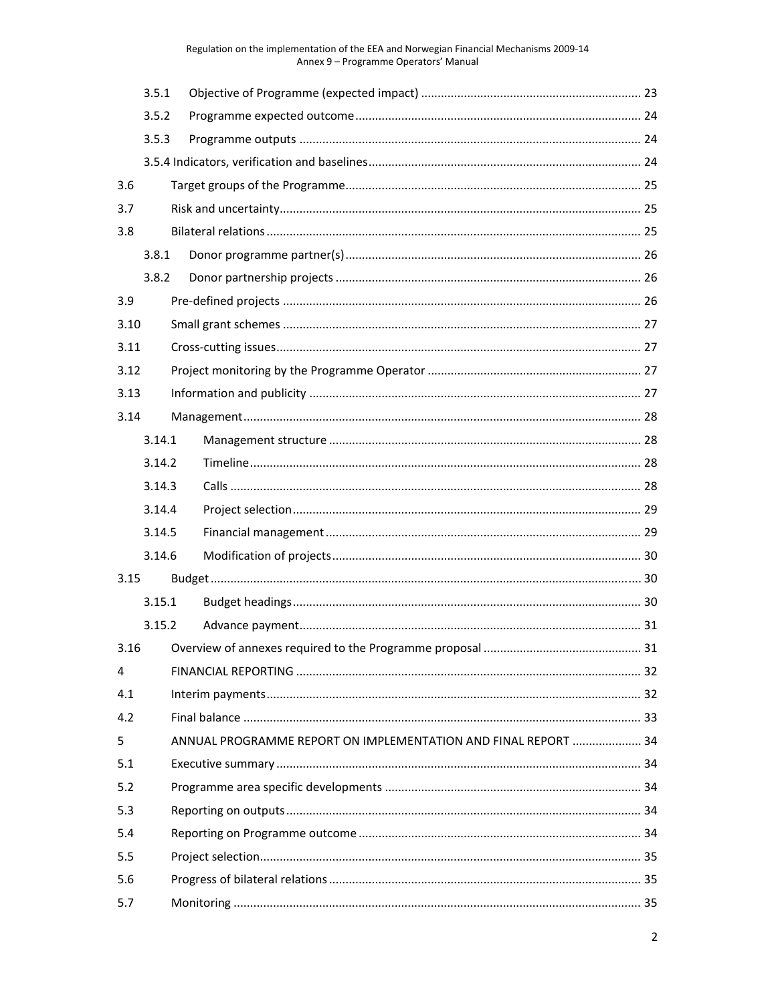|      | 3.5.1                                                          |  |  |  |
|------|----------------------------------------------------------------|--|--|--|
|      | 3.5.2                                                          |  |  |  |
|      | 3.5.3                                                          |  |  |  |
|      |                                                                |  |  |  |
| 3.6  |                                                                |  |  |  |
| 3.7  |                                                                |  |  |  |
| 3.8  |                                                                |  |  |  |
|      | 3.8.1                                                          |  |  |  |
|      | 3.8.2                                                          |  |  |  |
| 3.9  |                                                                |  |  |  |
| 3.10 |                                                                |  |  |  |
| 3.11 |                                                                |  |  |  |
| 3.12 |                                                                |  |  |  |
| 3.13 |                                                                |  |  |  |
| 3.14 |                                                                |  |  |  |
|      | 3.14.1                                                         |  |  |  |
|      | 3.14.2                                                         |  |  |  |
|      | 3.14.3                                                         |  |  |  |
|      | 3.14.4                                                         |  |  |  |
|      | 3.14.5                                                         |  |  |  |
|      | 3.14.6                                                         |  |  |  |
| 3.15 |                                                                |  |  |  |
|      | 3.15.1                                                         |  |  |  |
|      | 3.15.2                                                         |  |  |  |
|      |                                                                |  |  |  |
| 4    |                                                                |  |  |  |
| 4.1  |                                                                |  |  |  |
| 4.2  |                                                                |  |  |  |
| 5.   | ANNUAL PROGRAMME REPORT ON IMPLEMENTATION AND FINAL REPORT  34 |  |  |  |
| 5.1  |                                                                |  |  |  |
| 5.2  |                                                                |  |  |  |
| 5.3  |                                                                |  |  |  |
| 5.4  |                                                                |  |  |  |
| 5.5  |                                                                |  |  |  |
| 5.6  |                                                                |  |  |  |
| 5.7  |                                                                |  |  |  |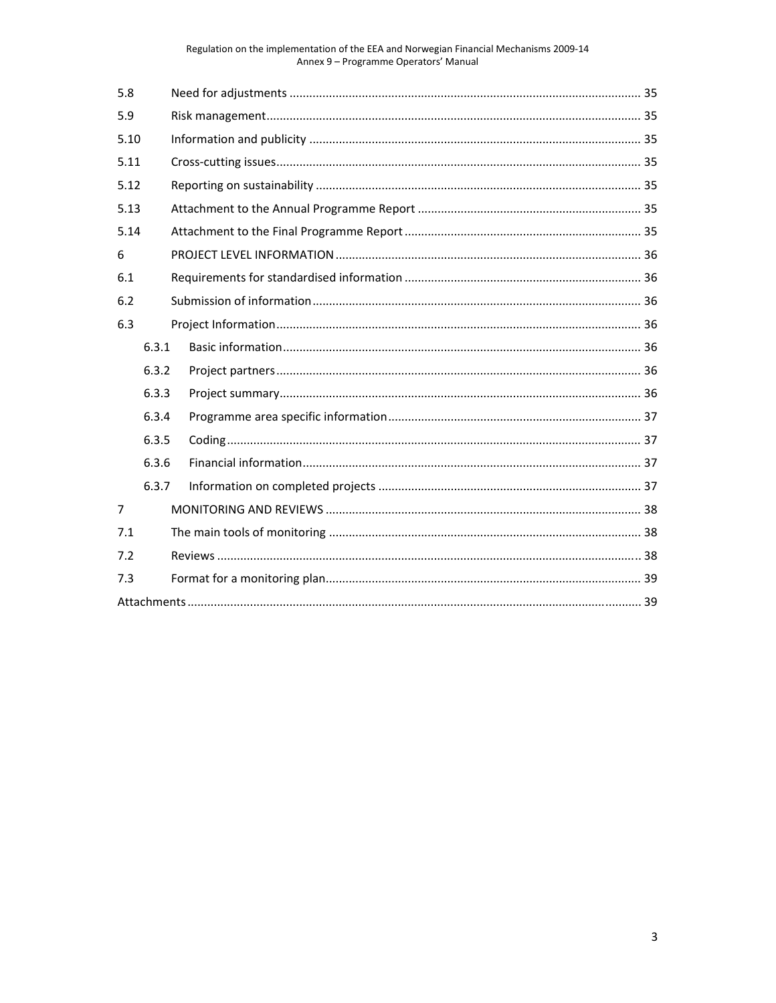| 5.8            |       |  |  |  |
|----------------|-------|--|--|--|
| 5.9            |       |  |  |  |
| 5.10           |       |  |  |  |
| 5.11           |       |  |  |  |
| 5.12           |       |  |  |  |
| 5.13           |       |  |  |  |
| 5.14           |       |  |  |  |
| 6              |       |  |  |  |
| 6.1            |       |  |  |  |
| 6.2            |       |  |  |  |
| 6.3            |       |  |  |  |
|                | 6.3.1 |  |  |  |
|                | 6.3.2 |  |  |  |
|                | 6.3.3 |  |  |  |
|                | 6.3.4 |  |  |  |
|                | 6.3.5 |  |  |  |
|                | 6.3.6 |  |  |  |
| 6.3.7          |       |  |  |  |
| $\overline{7}$ |       |  |  |  |
| 7.1            |       |  |  |  |
| 7.2            |       |  |  |  |
| 7.3            |       |  |  |  |
|                |       |  |  |  |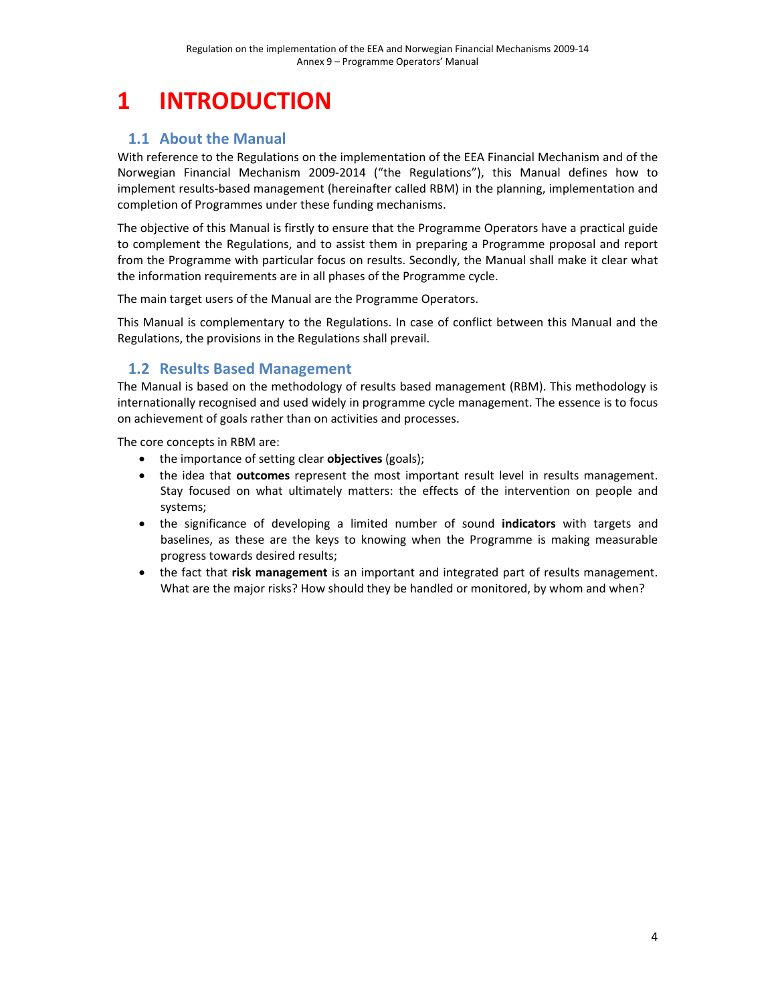# **1 INTRODUCTION**

# **1.1 About the Manual**

With reference to the Regulations on the implementation of the EEA Financial Mechanism and of the Norwegian Financial Mechanism 2009‐2014 ("the Regulations"), this Manual defines how to implement results-based management (hereinafter called RBM) in the planning, implementation and completion of Programmes under these funding mechanisms.

The objective of this Manual is firstly to ensure that the Programme Operators have a practical guide to complement the Regulations, and to assist them in preparing a Programme proposal and report from the Programme with particular focus on results. Secondly, the Manual shall make it clear what the information requirements are in all phases of the Programme cycle.

The main target users of the Manual are the Programme Operators.

This Manual is complementary to the Regulations. In case of conflict between this Manual and the Regulations, the provisions in the Regulations shall prevail.

# **1.2 Results Based Management**

The Manual is based on the methodology of results based management (RBM). This methodology is internationally recognised and used widely in programme cycle management. The essence is to focus on achievement of goals rather than on activities and processes.

The core concepts in RBM are:

- the importance of setting clear **objectives** (goals);
- the idea that **outcomes** represent the most important result level in results management. Stay focused on what ultimately matters: the effects of the intervention on people and systems;
- the significance of developing a limited number of sound **indicators** with targets and baselines, as these are the keys to knowing when the Programme is making measurable progress towards desired results;
- the fact that **risk management** is an important and integrated part of results management. What are the major risks? How should they be handled or monitored, by whom and when?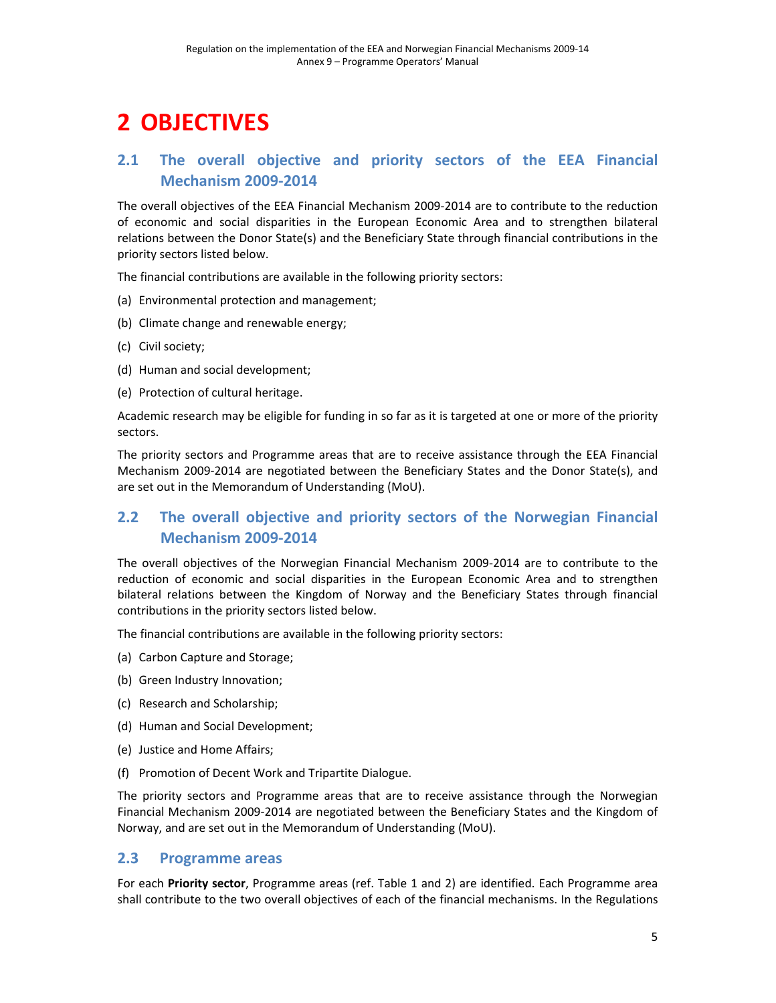# **2 OBJECTIVES**

# **2.1 The overall objective and priority sectors of the EEA Financial Mechanism 2009‐2014**

The overall objectives of the EEA Financial Mechanism 2009‐2014 are to contribute to the reduction of economic and social disparities in the European Economic Area and to strengthen bilateral relations between the Donor State(s) and the Beneficiary State through financial contributions in the priority sectors listed below.

The financial contributions are available in the following priority sectors:

- (a) Environmental protection and management;
- (b) Climate change and renewable energy;
- (c) Civil society;
- (d) Human and social development;
- (e) Protection of cultural heritage.

Academic research may be eligible for funding in so far as it is targeted at one or more of the priority sectors.

The priority sectors and Programme areas that are to receive assistance through the EEA Financial Mechanism 2009‐2014 are negotiated between the Beneficiary States and the Donor State(s), and are set out in the Memorandum of Understanding (MoU).

# **2.2 The overall objective and priority sectors of the Norwegian Financial Mechanism 2009‐2014**

The overall objectives of the Norwegian Financial Mechanism 2009‐2014 are to contribute to the reduction of economic and social disparities in the European Economic Area and to strengthen bilateral relations between the Kingdom of Norway and the Beneficiary States through financial contributions in the priority sectors listed below.

The financial contributions are available in the following priority sectors:

- (a) Carbon Capture and Storage;
- (b) Green Industry Innovation;
- (c) Research and Scholarship;
- (d) Human and Social Development;
- (e) Justice and Home Affairs;
- (f) Promotion of Decent Work and Tripartite Dialogue.

The priority sectors and Programme areas that are to receive assistance through the Norwegian Financial Mechanism 2009‐2014 are negotiated between the Beneficiary States and the Kingdom of Norway, and are set out in the Memorandum of Understanding (MoU).

### **2.3 Programme areas**

For each **Priority sector**, Programme areas (ref. Table 1 and 2) are identified. Each Programme area shall contribute to the two overall objectives of each of the financial mechanisms. In the Regulations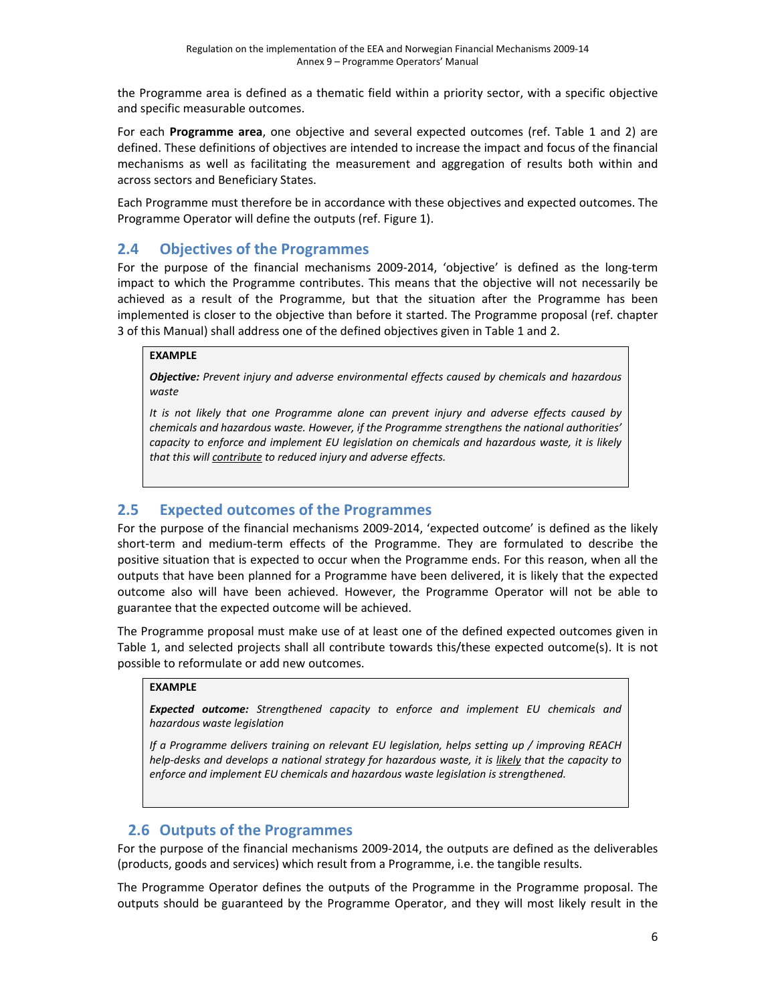the Programme area is defined as a thematic field within a priority sector, with a specific objective and specific measurable outcomes.

For each **Programme area**, one objective and several expected outcomes (ref. Table 1 and 2) are defined. These definitions of objectives are intended to increase the impact and focus of the financial mechanisms as well as facilitating the measurement and aggregation of results both within and across sectors and Beneficiary States.

Each Programme must therefore be in accordance with these objectives and expected outcomes. The Programme Operator will define the outputs (ref. Figure 1).

## **2.4 Objectives of the Programmes**

For the purpose of the financial mechanisms 2009-2014, 'objective' is defined as the long-term impact to which the Programme contributes. This means that the objective will not necessarily be achieved as a result of the Programme, but that the situation after the Programme has been implemented is closer to the objective than before it started. The Programme proposal (ref. chapter 3 of this Manual) shall address one of the defined objectives given in Table 1 and 2.

#### **EXAMPLE**

*Objective: Prevent injury and adverse environmental effects caused by chemicals and hazardous waste*

*It is not likely that one Programme alone can prevent injury and adverse effects caused by chemicals and hazardous waste. However, if the Programme strengthens the national authorities' capacity to enforce and implement EU legislation on chemicals and hazardous waste, it is likely that this will contribute to reduced injury and adverse effects.*

# **2.5 Expected outcomes of the Programmes**

For the purpose of the financial mechanisms 2009‐2014, 'expected outcome' is defined as the likely short-term and medium-term effects of the Programme. They are formulated to describe the positive situation that is expected to occur when the Programme ends. For this reason, when all the outputs that have been planned for a Programme have been delivered, it is likely that the expected outcome also will have been achieved. However, the Programme Operator will not be able to guarantee that the expected outcome will be achieved.

The Programme proposal must make use of at least one of the defined expected outcomes given in Table 1, and selected projects shall all contribute towards this/these expected outcome(s). It is not possible to reformulate or add new outcomes.

### **EXAMPLE**

*Expected outcome: Strengthened capacity to enforce and implement EU chemicals and hazardous waste legislation* 

*If a Programme delivers training on relevant EU legislation, helps setting up / improving REACH help‐desks and develops a national strategy for hazardous waste, it is likely that the capacity to enforce and implement EU chemicals and hazardous waste legislation is strengthened.*

## **2.6 Outputs of the Programmes**

For the purpose of the financial mechanisms 2009‐2014, the outputs are defined as the deliverables (products, goods and services) which result from a Programme, i.e. the tangible results.

The Programme Operator defines the outputs of the Programme in the Programme proposal. The outputs should be guaranteed by the Programme Operator, and they will most likely result in the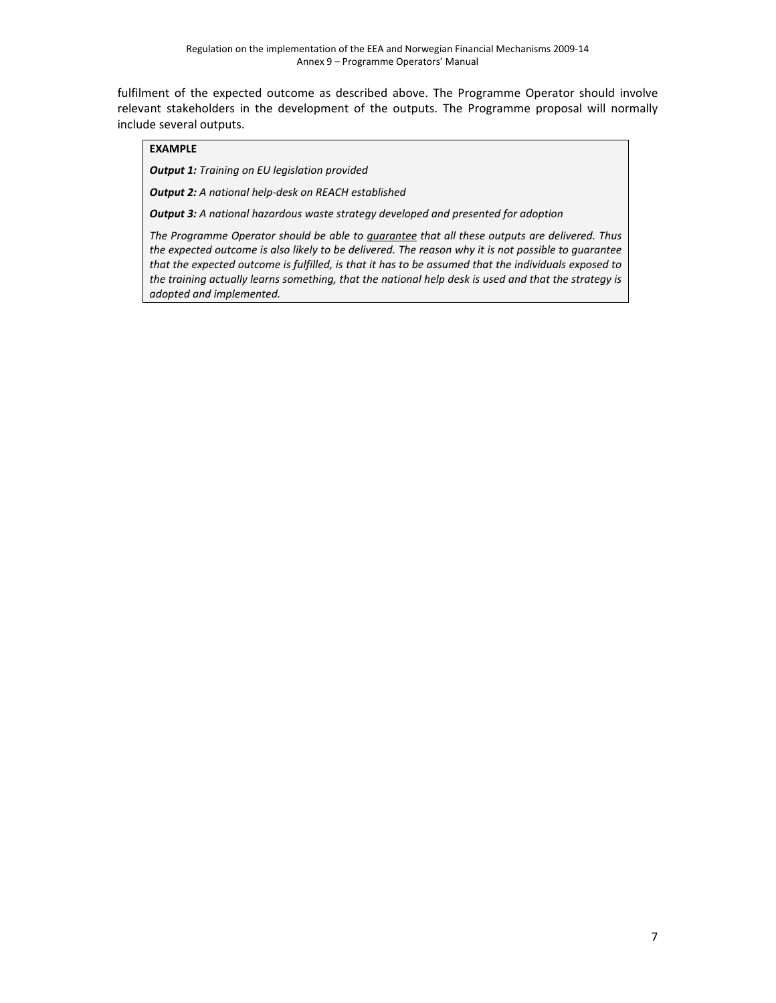fulfilment of the expected outcome as described above. The Programme Operator should involve relevant stakeholders in the development of the outputs. The Programme proposal will normally include several outputs.

#### **EXAMPLE**

*Output 1: Training on EU legislation provided*

*Output 2: A national help‐desk on REACH established*

*Output 3: A national hazardous waste strategy developed and presented for adoption*

*The Programme Operator should be able to guarantee that all these outputs are delivered. Thus* the expected outcome is also likely to be delivered. The reason why it is not possible to guarantee that the expected outcome is fulfilled, is that it has to be assumed that the individuals exposed to *the training actually learns something, that the national help desk is used and that the strategy is adopted and implemented.*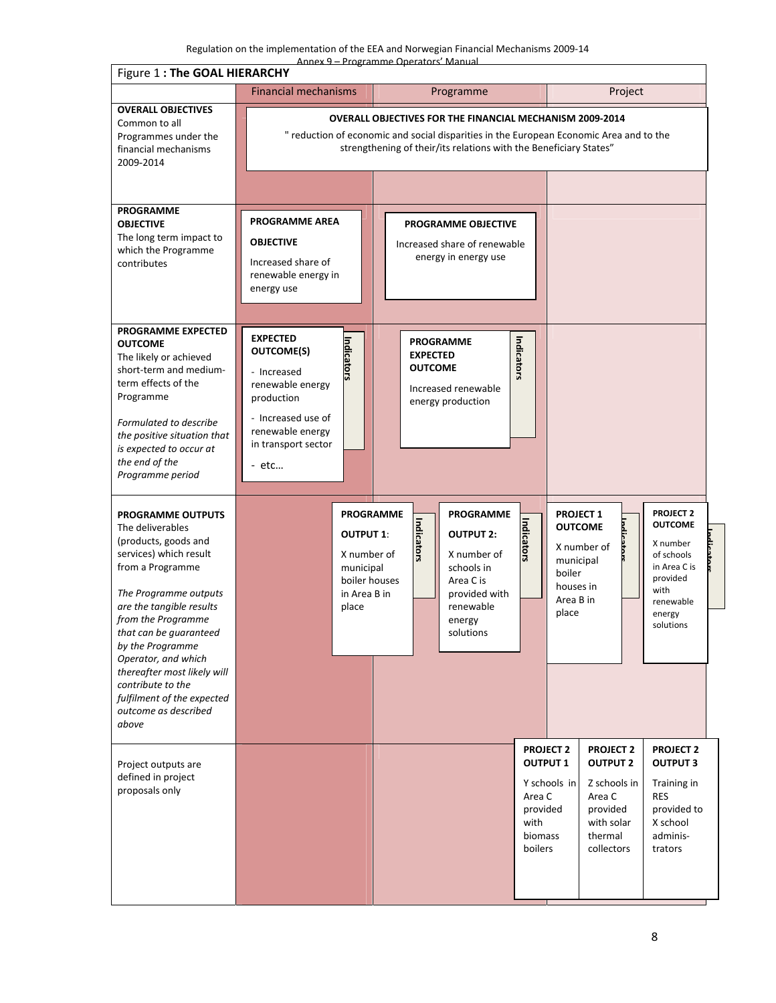|                                                                                                                                                                                                                                                                                                                                                                                       | Annex 9 - Programme Operators' Manual<br>Figure 1: The GOAL HIERARCHY                                                                                                         |                                                                                                                                                                                                                                                             |                                                                                                                                  |                                                                                                                                                                                                                              |  |  |
|---------------------------------------------------------------------------------------------------------------------------------------------------------------------------------------------------------------------------------------------------------------------------------------------------------------------------------------------------------------------------------------|-------------------------------------------------------------------------------------------------------------------------------------------------------------------------------|-------------------------------------------------------------------------------------------------------------------------------------------------------------------------------------------------------------------------------------------------------------|----------------------------------------------------------------------------------------------------------------------------------|------------------------------------------------------------------------------------------------------------------------------------------------------------------------------------------------------------------------------|--|--|
|                                                                                                                                                                                                                                                                                                                                                                                       | <b>Financial mechanisms</b>                                                                                                                                                   | Programme                                                                                                                                                                                                                                                   |                                                                                                                                  | Project                                                                                                                                                                                                                      |  |  |
| <b>OVERALL OBJECTIVES</b><br>Common to all<br>Programmes under the<br>financial mechanisms<br>2009-2014                                                                                                                                                                                                                                                                               |                                                                                                                                                                               | <b>OVERALL OBJECTIVES FOR THE FINANCIAL MECHANISM 2009-2014</b><br>" reduction of economic and social disparities in the European Economic Area and to the<br>strengthening of their/its relations with the Beneficiary States"                             |                                                                                                                                  |                                                                                                                                                                                                                              |  |  |
|                                                                                                                                                                                                                                                                                                                                                                                       |                                                                                                                                                                               |                                                                                                                                                                                                                                                             |                                                                                                                                  |                                                                                                                                                                                                                              |  |  |
| <b>PROGRAMME</b><br><b>OBJECTIVE</b><br>The long term impact to<br>which the Programme<br>contributes                                                                                                                                                                                                                                                                                 | <b>PROGRAMME AREA</b><br><b>OBJECTIVE</b><br>Increased share of<br>renewable energy in<br>energy use                                                                          | <b>PROGRAMME OBJECTIVE</b><br>Increased share of renewable<br>energy in energy use                                                                                                                                                                          |                                                                                                                                  |                                                                                                                                                                                                                              |  |  |
| <b>PROGRAMME EXPECTED</b><br><b>OUTCOME</b><br>The likely or achieved<br>short-term and medium-<br>term effects of the<br>Programme<br>Formulated to describe<br>the positive situation that<br>is expected to occur at<br>the end of the<br>Programme period                                                                                                                         | <b>EXPECTED</b><br>Indicators<br><b>OUTCOME(S)</b><br>- Increased<br>renewable energy<br>production<br>- Increased use of<br>renewable energy<br>in transport sector<br>- etc | <b>PROGRAMME</b><br><b>EXPECTED</b><br><b>OUTCOME</b><br>Increased renewable<br>energy production                                                                                                                                                           | Indicators                                                                                                                       |                                                                                                                                                                                                                              |  |  |
| <b>PROGRAMME OUTPUTS</b><br>The deliverables<br>(products, goods and<br>services) which result<br>from a Programme<br>The Programme outputs<br>are the tangible results<br>from the Programme<br>that can be guaranteed<br>by the Programme<br>Operator, and which<br>thereafter most likely will<br>contribute to the<br>fulfilment of the expected<br>outcome as described<br>above | place                                                                                                                                                                         | <b>PROGRAMME</b><br><b>PROGRAMME</b><br>Indica<br><b>OUTPUT 1:</b><br><b>OUTPUT 2:</b><br>5.ior<br>X number of<br>X number of<br>municipal<br>schools in<br>boiler houses<br>Area C is<br>in Area B in<br>provided with<br>renewable<br>energy<br>solutions | <b>PROJECT 1</b><br><b>Indicators</b><br><b>OUTCOME</b><br>X number of<br>municipal<br>boiler<br>houses in<br>Area B in<br>place | <b>PROJECT 2</b><br><b>OUTCOME</b><br>X number<br>of schools<br>in Area C is<br>provided<br>with<br>renewable<br>energy<br>solutions                                                                                         |  |  |
| Project outputs are<br>defined in project<br>proposals only                                                                                                                                                                                                                                                                                                                           |                                                                                                                                                                               |                                                                                                                                                                                                                                                             | <b>PROJECT 2</b><br><b>OUTPUT 1</b><br>Y schools in<br>Area C<br>Area C<br>provided<br>with<br>biomass<br>boilers                | <b>PROJECT 2</b><br><b>PROJECT 2</b><br><b>OUTPUT 2</b><br><b>OUTPUT 3</b><br>Z schools in<br>Training in<br><b>RES</b><br>provided<br>provided to<br>X school<br>with solar<br>thermal<br>adminis-<br>collectors<br>trators |  |  |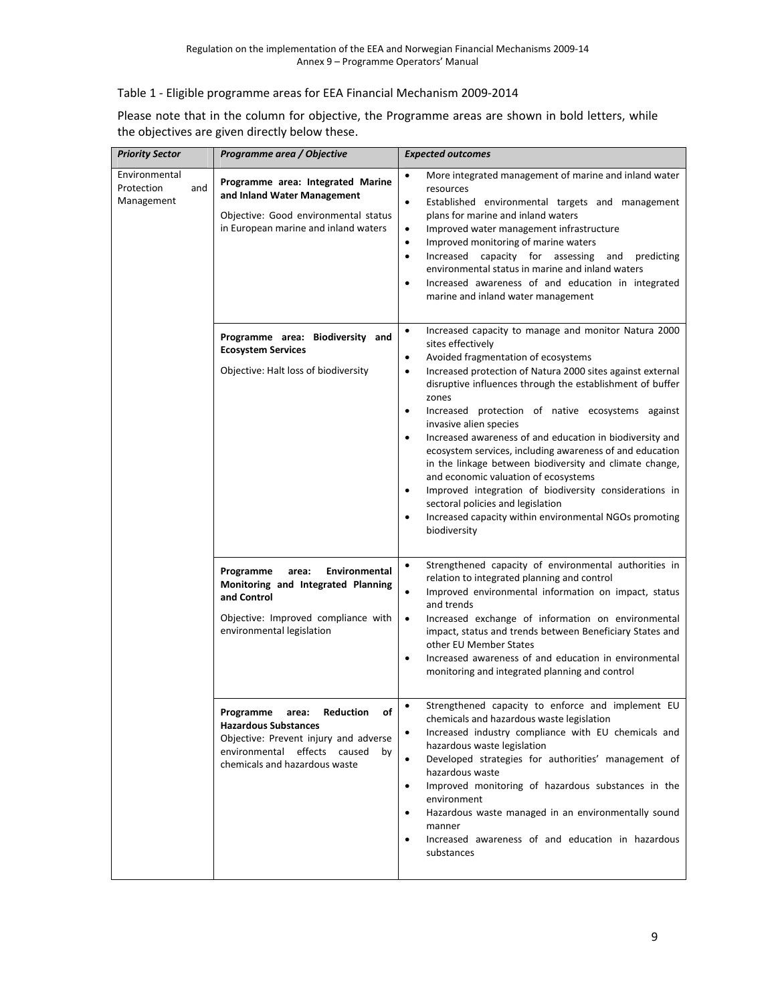## Table 1 ‐ Eligible programme areas for EEA Financial Mechanism 2009‐2014

| Please note that in the column for objective, the Programme areas are shown in bold letters, while |  |
|----------------------------------------------------------------------------------------------------|--|
| the objectives are given directly below these.                                                     |  |

| <b>Priority Sector</b>                           | Programme area / Objective                                                                                                                                                           | <b>Expected outcomes</b>                                                                                                                                                                                                                                                                                                                                                                                                                                                                                                                                                                                                                                                                                                                                                                                   |
|--------------------------------------------------|--------------------------------------------------------------------------------------------------------------------------------------------------------------------------------------|------------------------------------------------------------------------------------------------------------------------------------------------------------------------------------------------------------------------------------------------------------------------------------------------------------------------------------------------------------------------------------------------------------------------------------------------------------------------------------------------------------------------------------------------------------------------------------------------------------------------------------------------------------------------------------------------------------------------------------------------------------------------------------------------------------|
| Environmental<br>Protection<br>and<br>Management | Programme area: Integrated Marine<br>and Inland Water Management<br>Objective: Good environmental status<br>in European marine and inland waters                                     | More integrated management of marine and inland water<br>$\bullet$<br>resources<br>Established environmental targets and management<br>$\bullet$<br>plans for marine and inland waters<br>Improved water management infrastructure<br>$\bullet$<br>Improved monitoring of marine waters<br>$\bullet$<br>Increased capacity for assessing<br>predicting<br>and<br>$\bullet$<br>environmental status in marine and inland waters<br>Increased awareness of and education in integrated<br>٠<br>marine and inland water management                                                                                                                                                                                                                                                                            |
|                                                  | Programme area: Biodiversity and<br><b>Ecosystem Services</b><br>Objective: Halt loss of biodiversity                                                                                | Increased capacity to manage and monitor Natura 2000<br>$\bullet$<br>sites effectively<br>Avoided fragmentation of ecosystems<br>٠<br>Increased protection of Natura 2000 sites against external<br>$\bullet$<br>disruptive influences through the establishment of buffer<br>zones<br>Increased protection of native ecosystems against<br>٠<br>invasive alien species<br>Increased awareness of and education in biodiversity and<br>$\bullet$<br>ecosystem services, including awareness of and education<br>in the linkage between biodiversity and climate change,<br>and economic valuation of ecosystems<br>Improved integration of biodiversity considerations in<br>$\bullet$<br>sectoral policies and legislation<br>Increased capacity within environmental NGOs promoting<br>٠<br>biodiversity |
|                                                  | Programme<br>Environmental<br>area:<br>Monitoring and Integrated Planning<br>and Control<br>Objective: Improved compliance with<br>environmental legislation                         | Strengthened capacity of environmental authorities in<br>$\bullet$<br>relation to integrated planning and control<br>Improved environmental information on impact, status<br>$\bullet$<br>and trends<br>Increased exchange of information on environmental<br>$\bullet$<br>impact, status and trends between Beneficiary States and<br>other EU Member States<br>Increased awareness of and education in environmental<br>$\bullet$<br>monitoring and integrated planning and control                                                                                                                                                                                                                                                                                                                      |
|                                                  | Reduction<br>Ωf<br>Programme<br>area:<br><b>Hazardous Substances</b><br>Objective: Prevent injury and adverse<br>environmental effects caused<br>by<br>chemicals and hazardous waste | Strengthened capacity to enforce and implement EU<br>$\bullet$<br>chemicals and hazardous waste legislation<br>Increased industry compliance with EU chemicals and<br>$\bullet$<br>hazardous waste legislation<br>Developed strategies for authorities' management of<br>$\bullet$<br>hazardous waste<br>Improved monitoring of hazardous substances in the<br>٠<br>environment<br>Hazardous waste managed in an environmentally sound<br>٠<br>manner<br>Increased awareness of and education in hazardous<br>$\bullet$<br>substances                                                                                                                                                                                                                                                                      |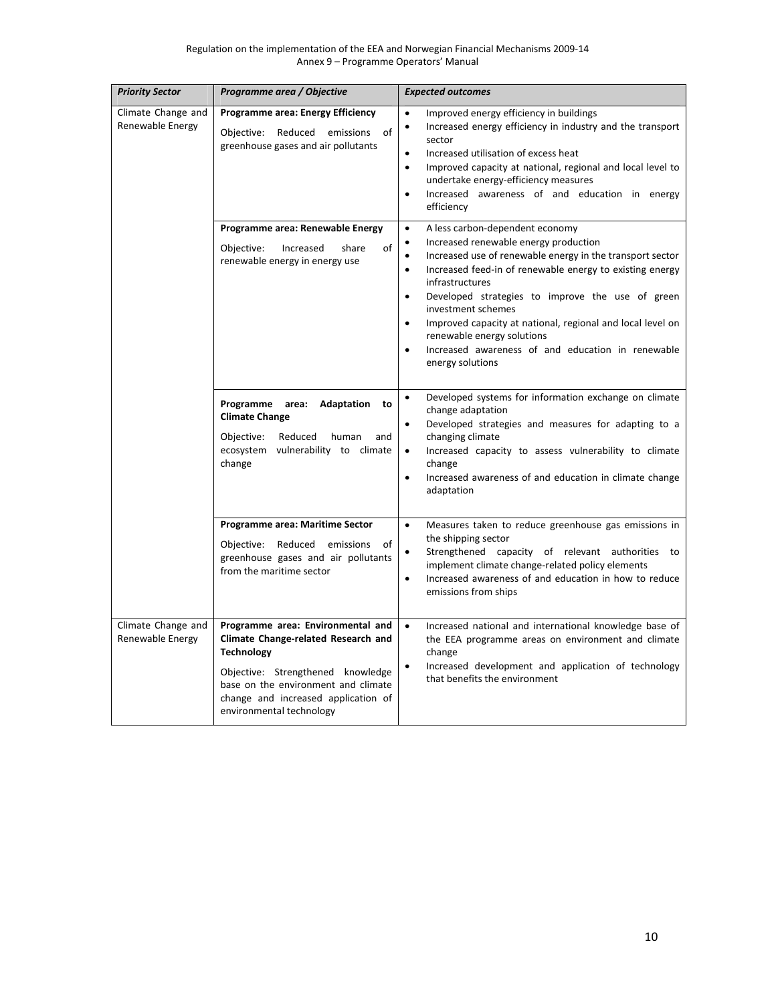| <b>Priority Sector</b>                 | Programme area / Objective                                                                                                                                                                                                                   | <b>Expected outcomes</b>                                                                                                                                                                                                                                                                                                                                                                                                                                                                                                                               |
|----------------------------------------|----------------------------------------------------------------------------------------------------------------------------------------------------------------------------------------------------------------------------------------------|--------------------------------------------------------------------------------------------------------------------------------------------------------------------------------------------------------------------------------------------------------------------------------------------------------------------------------------------------------------------------------------------------------------------------------------------------------------------------------------------------------------------------------------------------------|
| Climate Change and<br>Renewable Energy | Programme area: Energy Efficiency<br>Objective: Reduced emissions<br>of<br>greenhouse gases and air pollutants                                                                                                                               | Improved energy efficiency in buildings<br>$\bullet$<br>Increased energy efficiency in industry and the transport<br>$\bullet$<br>sector<br>Increased utilisation of excess heat<br>$\bullet$<br>Improved capacity at national, regional and local level to<br>$\bullet$<br>undertake energy-efficiency measures<br>Increased awareness of and education in energy<br>$\bullet$<br>efficiency                                                                                                                                                          |
|                                        | Programme area: Renewable Energy<br>of<br>Objective:<br>Increased<br>share<br>renewable energy in energy use                                                                                                                                 | A less carbon-dependent economy<br>$\bullet$<br>Increased renewable energy production<br>$\bullet$<br>Increased use of renewable energy in the transport sector<br>٠<br>Increased feed-in of renewable energy to existing energy<br>$\bullet$<br>infrastructures<br>Developed strategies to improve the use of green<br>$\bullet$<br>investment schemes<br>Improved capacity at national, regional and local level on<br>$\bullet$<br>renewable energy solutions<br>Increased awareness of and education in renewable<br>$\bullet$<br>energy solutions |
|                                        | Programme area: Adaptation to<br><b>Climate Change</b><br>Objective:<br>Reduced<br>human<br>and<br>ecosystem vulnerability to climate<br>change                                                                                              | Developed systems for information exchange on climate<br>$\bullet$<br>change adaptation<br>Developed strategies and measures for adapting to a<br>$\bullet$<br>changing climate<br>Increased capacity to assess vulnerability to climate<br>$\bullet$<br>change<br>Increased awareness of and education in climate change<br>$\bullet$<br>adaptation                                                                                                                                                                                                   |
|                                        | Programme area: Maritime Sector<br>Objective: Reduced emissions<br>of<br>greenhouse gases and air pollutants<br>from the maritime sector                                                                                                     | Measures taken to reduce greenhouse gas emissions in<br>$\bullet$<br>the shipping sector<br>Strengthened capacity of relevant authorities to<br>implement climate change-related policy elements<br>Increased awareness of and education in how to reduce<br>$\bullet$<br>emissions from ships                                                                                                                                                                                                                                                         |
| Climate Change and<br>Renewable Energy | Programme area: Environmental and<br>Climate Change-related Research and<br><b>Technology</b><br>Objective: Strengthened knowledge<br>base on the environment and climate<br>change and increased application of<br>environmental technology | $\bullet$<br>Increased national and international knowledge base of<br>the EEA programme areas on environment and climate<br>change<br>Increased development and application of technology<br>$\bullet$<br>that benefits the environment                                                                                                                                                                                                                                                                                                               |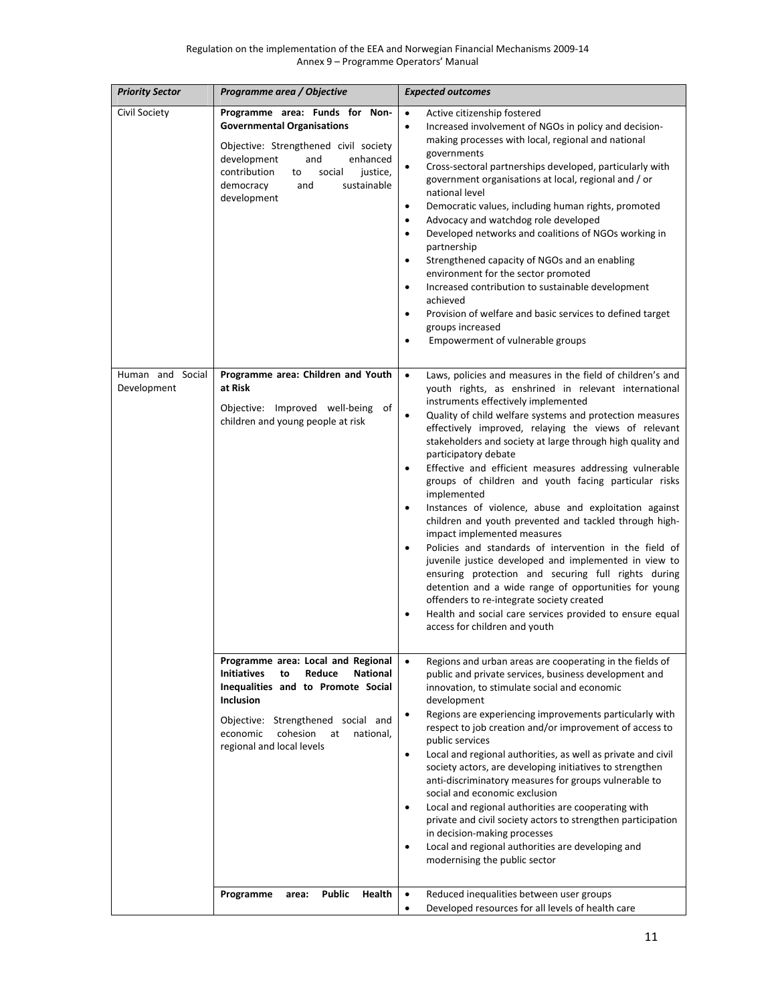| <b>Priority Sector</b>             | Programme area / Objective                                                                                                                                                                                                                                                                                           | <b>Expected outcomes</b>                                                                                                                                                                                                                                                                                                                                                                                                                                                                                                                                                                                                                                                                                                                                                                                                                                                                                                                                                                                                                                                                                          |
|------------------------------------|----------------------------------------------------------------------------------------------------------------------------------------------------------------------------------------------------------------------------------------------------------------------------------------------------------------------|-------------------------------------------------------------------------------------------------------------------------------------------------------------------------------------------------------------------------------------------------------------------------------------------------------------------------------------------------------------------------------------------------------------------------------------------------------------------------------------------------------------------------------------------------------------------------------------------------------------------------------------------------------------------------------------------------------------------------------------------------------------------------------------------------------------------------------------------------------------------------------------------------------------------------------------------------------------------------------------------------------------------------------------------------------------------------------------------------------------------|
| Civil Society                      | Programme area: Funds for Non-<br><b>Governmental Organisations</b><br>Objective: Strengthened civil society<br>development<br>and<br>enhanced<br>contribution<br>to<br>social<br>justice,<br>democracy<br>sustainable<br>and<br>development                                                                         | $\bullet$<br>Active citizenship fostered<br>Increased involvement of NGOs in policy and decision-<br>$\bullet$<br>making processes with local, regional and national<br>governments<br>$\bullet$<br>Cross-sectoral partnerships developed, particularly with<br>government organisations at local, regional and / or<br>national level<br>Democratic values, including human rights, promoted<br>$\bullet$<br>Advocacy and watchdog role developed<br>٠<br>Developed networks and coalitions of NGOs working in<br>$\bullet$<br>partnership<br>Strengthened capacity of NGOs and an enabling<br>$\bullet$<br>environment for the sector promoted<br>Increased contribution to sustainable development<br>$\bullet$<br>achieved<br>Provision of welfare and basic services to defined target<br>$\bullet$<br>groups increased<br>Empowerment of vulnerable groups<br>$\bullet$                                                                                                                                                                                                                                     |
| Human and<br>Social<br>Development | Programme area: Children and Youth<br>at Risk<br>Objective: Improved well-being of<br>children and young people at risk                                                                                                                                                                                              | Laws, policies and measures in the field of children's and<br>$\bullet$<br>youth rights, as enshrined in relevant international<br>instruments effectively implemented<br>Quality of child welfare systems and protection measures<br>$\bullet$<br>effectively improved, relaying the views of relevant<br>stakeholders and society at large through high quality and<br>participatory debate<br>Effective and efficient measures addressing vulnerable<br>$\bullet$<br>groups of children and youth facing particular risks<br>implemented<br>Instances of violence, abuse and exploitation against<br>$\bullet$<br>children and youth prevented and tackled through high-<br>impact implemented measures<br>$\bullet$<br>Policies and standards of intervention in the field of<br>juvenile justice developed and implemented in view to<br>ensuring protection and securing full rights during<br>detention and a wide range of opportunities for young<br>offenders to re-integrate society created<br>Health and social care services provided to ensure equal<br>$\bullet$<br>access for children and youth |
|                                    | Programme area: Local and Regional<br><b>Initiatives</b><br>Reduce<br><b>National</b><br>to<br>Inequalities and to Promote Social<br><b>Inclusion</b><br>Objective: Strengthened social and<br>cohesion<br>economic<br>at<br>national,<br>regional and local levels<br><b>Public</b><br>Health<br>Programme<br>area: | Regions and urban areas are cooperating in the fields of<br>$\bullet$<br>public and private services, business development and<br>innovation, to stimulate social and economic<br>development<br>Regions are experiencing improvements particularly with<br>$\bullet$<br>respect to job creation and/or improvement of access to<br>public services<br>$\bullet$<br>Local and regional authorities, as well as private and civil<br>society actors, are developing initiatives to strengthen<br>anti-discriminatory measures for groups vulnerable to<br>social and economic exclusion<br>Local and regional authorities are cooperating with<br>$\bullet$<br>private and civil society actors to strengthen participation<br>in decision-making processes<br>Local and regional authorities are developing and<br>$\bullet$<br>modernising the public sector<br>Reduced inequalities between user groups<br>$\bullet$                                                                                                                                                                                            |
|                                    |                                                                                                                                                                                                                                                                                                                      | Developed resources for all levels of health care<br>$\bullet$                                                                                                                                                                                                                                                                                                                                                                                                                                                                                                                                                                                                                                                                                                                                                                                                                                                                                                                                                                                                                                                    |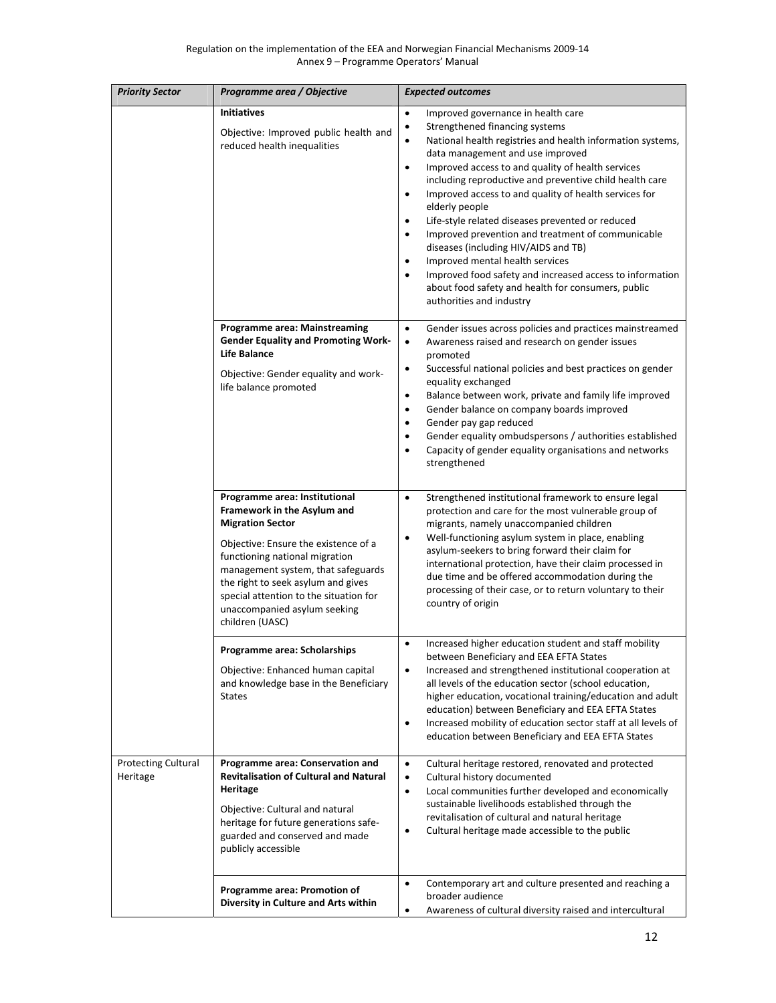| <b>Priority Sector</b>                 | Programme area / Objective                                                                                                                                                                                                                                                                                                                 | <b>Expected outcomes</b>                                                                                                                                                                                                                                                                                                                                                                                                                                                                                                                                                                                                                                                                                                                                                                                                 |
|----------------------------------------|--------------------------------------------------------------------------------------------------------------------------------------------------------------------------------------------------------------------------------------------------------------------------------------------------------------------------------------------|--------------------------------------------------------------------------------------------------------------------------------------------------------------------------------------------------------------------------------------------------------------------------------------------------------------------------------------------------------------------------------------------------------------------------------------------------------------------------------------------------------------------------------------------------------------------------------------------------------------------------------------------------------------------------------------------------------------------------------------------------------------------------------------------------------------------------|
|                                        | <b>Initiatives</b><br>Objective: Improved public health and<br>reduced health inequalities                                                                                                                                                                                                                                                 | $\bullet$<br>Improved governance in health care<br>Strengthened financing systems<br>$\bullet$<br>$\bullet$<br>National health registries and health information systems,<br>data management and use improved<br>Improved access to and quality of health services<br>$\bullet$<br>including reproductive and preventive child health care<br>Improved access to and quality of health services for<br>$\bullet$<br>elderly people<br>Life-style related diseases prevented or reduced<br>$\bullet$<br>Improved prevention and treatment of communicable<br>$\bullet$<br>diseases (including HIV/AIDS and TB)<br>Improved mental health services<br>$\bullet$<br>Improved food safety and increased access to information<br>$\bullet$<br>about food safety and health for consumers, public<br>authorities and industry |
|                                        | <b>Programme area: Mainstreaming</b><br><b>Gender Equality and Promoting Work-</b><br><b>Life Balance</b><br>Objective: Gender equality and work-<br>life balance promoted                                                                                                                                                                 | $\bullet$<br>Gender issues across policies and practices mainstreamed<br>Awareness raised and research on gender issues<br>$\bullet$<br>promoted<br>Successful national policies and best practices on gender<br>$\bullet$<br>equality exchanged<br>Balance between work, private and family life improved<br>$\bullet$<br>Gender balance on company boards improved<br>$\bullet$<br>Gender pay gap reduced<br>٠<br>Gender equality ombudspersons / authorities established<br>$\bullet$<br>Capacity of gender equality organisations and networks<br>$\bullet$<br>strengthened                                                                                                                                                                                                                                          |
|                                        | Programme area: Institutional<br>Framework in the Asylum and<br><b>Migration Sector</b><br>Objective: Ensure the existence of a<br>functioning national migration<br>management system, that safeguards<br>the right to seek asylum and gives<br>special attention to the situation for<br>unaccompanied asylum seeking<br>children (UASC) | Strengthened institutional framework to ensure legal<br>$\bullet$<br>protection and care for the most vulnerable group of<br>migrants, namely unaccompanied children<br>Well-functioning asylum system in place, enabling<br>$\bullet$<br>asylum-seekers to bring forward their claim for<br>international protection, have their claim processed in<br>due time and be offered accommodation during the<br>processing of their case, or to return voluntary to their<br>country of origin                                                                                                                                                                                                                                                                                                                               |
|                                        | Programme area: Scholarships<br>Objective: Enhanced human capital<br>and knowledge base in the Beneficiary<br><b>States</b>                                                                                                                                                                                                                | Increased higher education student and staff mobility<br>$\bullet$<br>between Beneficiary and EEA EFTA States<br>Increased and strengthened institutional cooperation at<br>$\bullet$<br>all levels of the education sector (school education,<br>higher education, vocational training/education and adult<br>education) between Beneficiary and EEA EFTA States<br>Increased mobility of education sector staff at all levels of<br>$\bullet$<br>education between Beneficiary and EEA EFTA States                                                                                                                                                                                                                                                                                                                     |
| <b>Protecting Cultural</b><br>Heritage | Programme area: Conservation and<br><b>Revitalisation of Cultural and Natural</b><br>Heritage<br>Objective: Cultural and natural<br>heritage for future generations safe-<br>guarded and conserved and made<br>publicly accessible                                                                                                         | Cultural heritage restored, renovated and protected<br>$\bullet$<br>Cultural history documented<br>$\bullet$<br>Local communities further developed and economically<br>$\bullet$<br>sustainable livelihoods established through the<br>revitalisation of cultural and natural heritage<br>Cultural heritage made accessible to the public<br>$\bullet$                                                                                                                                                                                                                                                                                                                                                                                                                                                                  |
|                                        | Programme area: Promotion of<br>Diversity in Culture and Arts within                                                                                                                                                                                                                                                                       | Contemporary art and culture presented and reaching a<br>$\bullet$<br>broader audience<br>Awareness of cultural diversity raised and intercultural<br>$\bullet$                                                                                                                                                                                                                                                                                                                                                                                                                                                                                                                                                                                                                                                          |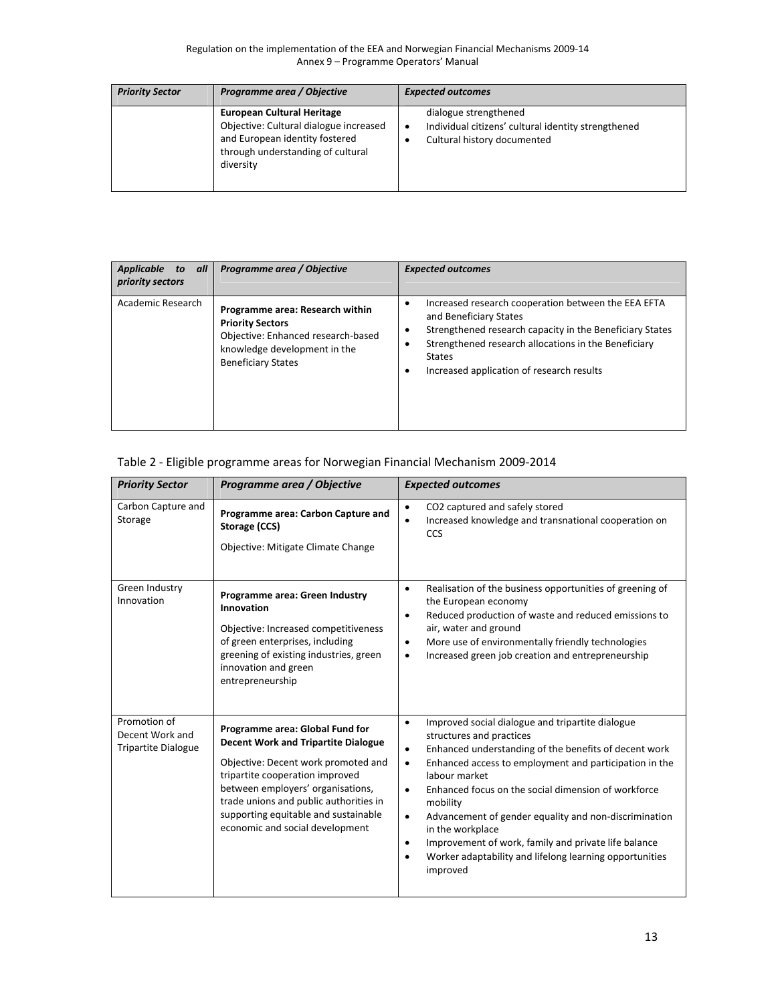| <b>Priority Sector</b> | Programme area / Objective                                                                                                                                      | <b>Expected outcomes</b>                                                                                                 |
|------------------------|-----------------------------------------------------------------------------------------------------------------------------------------------------------------|--------------------------------------------------------------------------------------------------------------------------|
|                        | <b>European Cultural Heritage</b><br>Objective: Cultural dialogue increased<br>and European identity fostered<br>through understanding of cultural<br>diversity | dialogue strengthened<br>Individual citizens' cultural identity strengthened<br>$\bullet$<br>Cultural history documented |

| Applicable<br>to all<br>priority sectors | Programme area / Objective                                                                                                                                    | <b>Expected outcomes</b>                                                                                                                                                                                                                                                       |
|------------------------------------------|---------------------------------------------------------------------------------------------------------------------------------------------------------------|--------------------------------------------------------------------------------------------------------------------------------------------------------------------------------------------------------------------------------------------------------------------------------|
| Academic Research                        | Programme area: Research within<br><b>Priority Sectors</b><br>Objective: Enhanced research-based<br>knowledge development in the<br><b>Beneficiary States</b> | Increased research cooperation between the EEA EFTA<br>٠<br>and Beneficiary States<br>Strengthened research capacity in the Beneficiary States<br>C<br>Strengthened research allocations in the Beneficiary<br><b>States</b><br>Increased application of research results<br>٠ |

#### Table 2 ‐ Eligible programme areas for Norwegian Financial Mechanism 2009‐2014

| <b>Priority Sector</b>                                        | Programme area / Objective                                                                                                                                                                                                                                                                                        | <b>Expected outcomes</b>                                                                                                                                                                                                                                                                                                                                                                                                                                                                                                                                                                   |
|---------------------------------------------------------------|-------------------------------------------------------------------------------------------------------------------------------------------------------------------------------------------------------------------------------------------------------------------------------------------------------------------|--------------------------------------------------------------------------------------------------------------------------------------------------------------------------------------------------------------------------------------------------------------------------------------------------------------------------------------------------------------------------------------------------------------------------------------------------------------------------------------------------------------------------------------------------------------------------------------------|
| Carbon Capture and<br>Storage<br>Green Industry               | Programme area: Carbon Capture and<br>Storage (CCS)<br>Objective: Mitigate Climate Change                                                                                                                                                                                                                         | CO2 captured and safely stored<br>$\bullet$<br>Increased knowledge and transnational cooperation on<br>٠<br>CCS<br>Realisation of the business opportunities of greening of<br>$\bullet$                                                                                                                                                                                                                                                                                                                                                                                                   |
| Innovation                                                    | Programme area: Green Industry<br>Innovation<br>Objective: Increased competitiveness<br>of green enterprises, including<br>greening of existing industries, green<br>innovation and green<br>entrepreneurship                                                                                                     | the European economy<br>Reduced production of waste and reduced emissions to<br>$\bullet$<br>air, water and ground<br>More use of environmentally friendly technologies<br>$\bullet$<br>Increased green job creation and entrepreneurship<br>٠                                                                                                                                                                                                                                                                                                                                             |
| Promotion of<br>Decent Work and<br><b>Tripartite Dialogue</b> | Programme area: Global Fund for<br><b>Decent Work and Tripartite Dialogue</b><br>Objective: Decent work promoted and<br>tripartite cooperation improved<br>between employers' organisations,<br>trade unions and public authorities in<br>supporting equitable and sustainable<br>economic and social development | Improved social dialogue and tripartite dialogue<br>$\bullet$<br>structures and practices<br>Enhanced understanding of the benefits of decent work<br>$\bullet$<br>Enhanced access to employment and participation in the<br>$\bullet$<br>labour market<br>Enhanced focus on the social dimension of workforce<br>$\bullet$<br>mobility<br>Advancement of gender equality and non-discrimination<br>$\bullet$<br>in the workplace<br>Improvement of work, family and private life balance<br>$\bullet$<br>Worker adaptability and lifelong learning opportunities<br>$\bullet$<br>improved |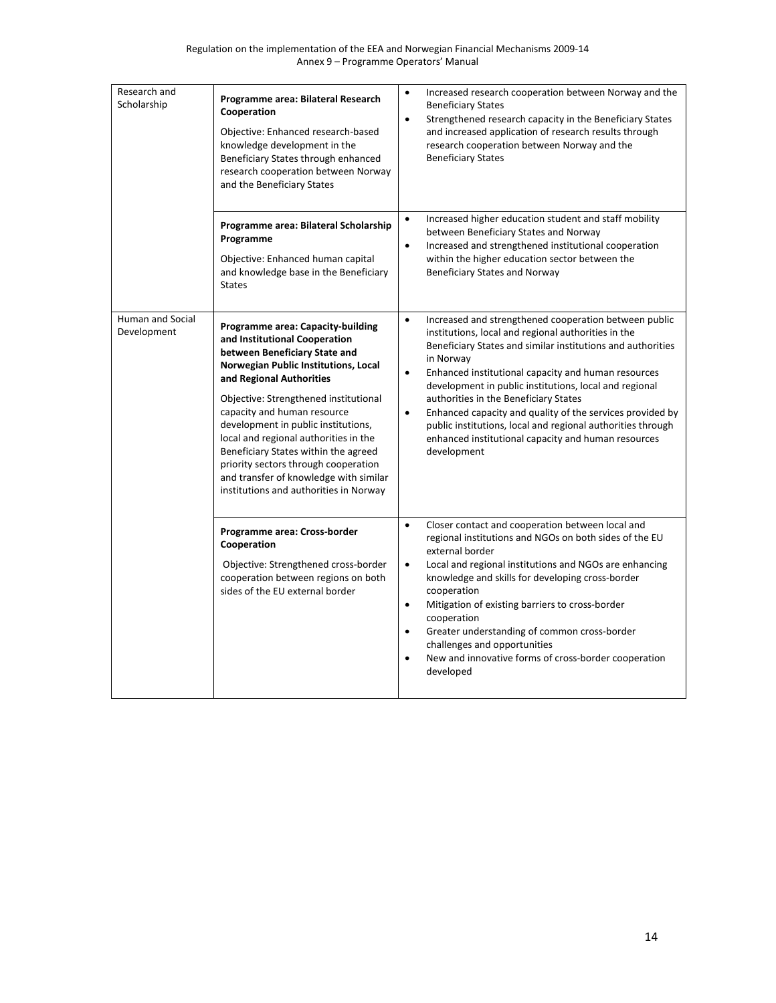| Research and<br>Scholarship     | Programme area: Bilateral Research<br>Cooperation<br>Objective: Enhanced research-based<br>knowledge development in the<br>Beneficiary States through enhanced<br>research cooperation between Norway<br>and the Beneficiary States                                                                                                                                                                                                                                                                 | $\bullet$<br>Increased research cooperation between Norway and the<br><b>Beneficiary States</b><br>Strengthened research capacity in the Beneficiary States<br>$\bullet$<br>and increased application of research results through<br>research cooperation between Norway and the<br><b>Beneficiary States</b>                                                                                                                                                                                                                                                                               |
|---------------------------------|-----------------------------------------------------------------------------------------------------------------------------------------------------------------------------------------------------------------------------------------------------------------------------------------------------------------------------------------------------------------------------------------------------------------------------------------------------------------------------------------------------|---------------------------------------------------------------------------------------------------------------------------------------------------------------------------------------------------------------------------------------------------------------------------------------------------------------------------------------------------------------------------------------------------------------------------------------------------------------------------------------------------------------------------------------------------------------------------------------------|
|                                 | Programme area: Bilateral Scholarship<br>Programme<br>Objective: Enhanced human capital<br>and knowledge base in the Beneficiary<br><b>States</b>                                                                                                                                                                                                                                                                                                                                                   | Increased higher education student and staff mobility<br>$\bullet$<br>between Beneficiary States and Norway<br>Increased and strengthened institutional cooperation<br>$\bullet$<br>within the higher education sector between the<br>Beneficiary States and Norway                                                                                                                                                                                                                                                                                                                         |
| Human and Social<br>Development | Programme area: Capacity-building<br>and Institutional Cooperation<br>between Beneficiary State and<br>Norwegian Public Institutions, Local<br>and Regional Authorities<br>Objective: Strengthened institutional<br>capacity and human resource<br>development in public institutions,<br>local and regional authorities in the<br>Beneficiary States within the agreed<br>priority sectors through cooperation<br>and transfer of knowledge with similar<br>institutions and authorities in Norway | Increased and strengthened cooperation between public<br>$\bullet$<br>institutions, local and regional authorities in the<br>Beneficiary States and similar institutions and authorities<br>in Norway<br>Enhanced institutional capacity and human resources<br>$\bullet$<br>development in public institutions, local and regional<br>authorities in the Beneficiary States<br>Enhanced capacity and quality of the services provided by<br>$\bullet$<br>public institutions, local and regional authorities through<br>enhanced institutional capacity and human resources<br>development |
|                                 | Programme area: Cross-border<br>Cooperation<br>Objective: Strengthened cross-border<br>cooperation between regions on both<br>sides of the EU external border                                                                                                                                                                                                                                                                                                                                       | $\bullet$<br>Closer contact and cooperation between local and<br>regional institutions and NGOs on both sides of the EU<br>external border<br>$\bullet$<br>Local and regional institutions and NGOs are enhancing<br>knowledge and skills for developing cross-border<br>cooperation<br>$\bullet$<br>Mitigation of existing barriers to cross-border<br>cooperation<br>Greater understanding of common cross-border<br>$\bullet$<br>challenges and opportunities<br>New and innovative forms of cross-border cooperation<br>$\bullet$<br>developed                                          |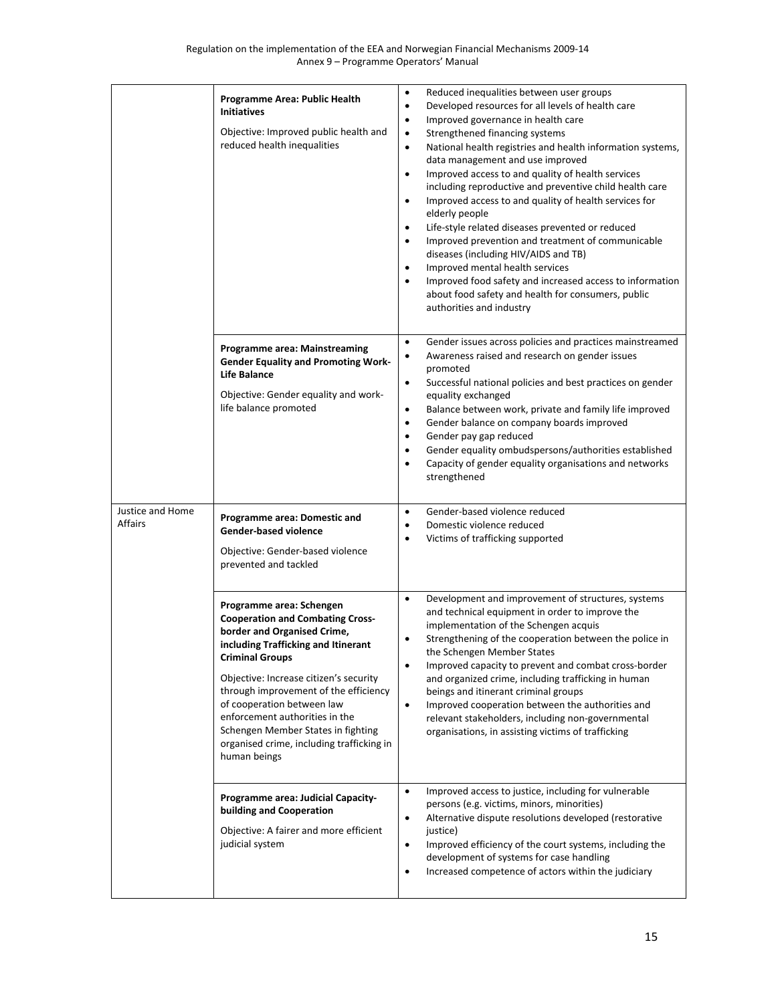|                             | Programme Area: Public Health<br><b>Initiatives</b><br>Objective: Improved public health and<br>reduced health inequalities                                                                                                                                                                                                                                                                                               | Reduced inequalities between user groups<br>$\bullet$<br>Developed resources for all levels of health care<br>$\bullet$<br>Improved governance in health care<br>$\bullet$<br>Strengthened financing systems<br>$\bullet$<br>National health registries and health information systems,<br>$\bullet$<br>data management and use improved<br>Improved access to and quality of health services<br>$\bullet$<br>including reproductive and preventive child health care<br>Improved access to and quality of health services for<br>$\bullet$<br>elderly people<br>Life-style related diseases prevented or reduced<br>$\bullet$<br>Improved prevention and treatment of communicable<br>$\bullet$<br>diseases (including HIV/AIDS and TB)<br>Improved mental health services<br>$\bullet$<br>$\bullet$<br>Improved food safety and increased access to information<br>about food safety and health for consumers, public<br>authorities and industry |
|-----------------------------|---------------------------------------------------------------------------------------------------------------------------------------------------------------------------------------------------------------------------------------------------------------------------------------------------------------------------------------------------------------------------------------------------------------------------|-----------------------------------------------------------------------------------------------------------------------------------------------------------------------------------------------------------------------------------------------------------------------------------------------------------------------------------------------------------------------------------------------------------------------------------------------------------------------------------------------------------------------------------------------------------------------------------------------------------------------------------------------------------------------------------------------------------------------------------------------------------------------------------------------------------------------------------------------------------------------------------------------------------------------------------------------------|
|                             | Programme area: Mainstreaming<br><b>Gender Equality and Promoting Work-</b><br><b>Life Balance</b><br>Objective: Gender equality and work-<br>life balance promoted                                                                                                                                                                                                                                                       | Gender issues across policies and practices mainstreamed<br>$\bullet$<br>$\bullet$<br>Awareness raised and research on gender issues<br>promoted<br>Successful national policies and best practices on gender<br>$\bullet$<br>equality exchanged<br>Balance between work, private and family life improved<br>$\bullet$<br>Gender balance on company boards improved<br>$\bullet$<br>Gender pay gap reduced<br>$\bullet$<br>Gender equality ombudspersons/authorities established<br>$\bullet$<br>Capacity of gender equality organisations and networks<br>$\bullet$<br>strengthened                                                                                                                                                                                                                                                                                                                                                               |
| Justice and Home<br>Affairs | Programme area: Domestic and<br><b>Gender-based violence</b><br>Objective: Gender-based violence<br>prevented and tackled                                                                                                                                                                                                                                                                                                 | Gender-based violence reduced<br>$\bullet$<br>Domestic violence reduced<br>$\bullet$<br>Victims of trafficking supported<br>$\bullet$                                                                                                                                                                                                                                                                                                                                                                                                                                                                                                                                                                                                                                                                                                                                                                                                               |
|                             | Programme area: Schengen<br><b>Cooperation and Combating Cross-</b><br>border and Organised Crime,<br>including Trafficking and Itinerant<br><b>Criminal Groups</b><br>Objective: Increase citizen's security<br>through improvement of the efficiency<br>of cooperation between law<br>enforcement authorities in the<br>Schengen Member States in fighting<br>organised crime, including trafficking in<br>human beings | Development and improvement of structures, systems<br>$\bullet$<br>and technical equipment in order to improve the<br>implementation of the Schengen acquis<br>Strengthening of the cooperation between the police in<br>$\bullet$<br>the Schengen Member States<br>Improved capacity to prevent and combat cross-border<br>$\bullet$<br>and organized crime, including trafficking in human<br>beings and itinerant criminal groups<br>$\bullet$<br>Improved cooperation between the authorities and<br>relevant stakeholders, including non-governmental<br>organisations, in assisting victims of trafficking                                                                                                                                                                                                                                                                                                                                    |
|                             | Programme area: Judicial Capacity-<br>building and Cooperation<br>Objective: A fairer and more efficient<br>judicial system                                                                                                                                                                                                                                                                                               | $\bullet$<br>Improved access to justice, including for vulnerable<br>persons (e.g. victims, minors, minorities)<br>Alternative dispute resolutions developed (restorative<br>$\bullet$<br>justice)<br>Improved efficiency of the court systems, including the<br>$\bullet$<br>development of systems for case handling<br>Increased competence of actors within the judiciary<br>$\bullet$                                                                                                                                                                                                                                                                                                                                                                                                                                                                                                                                                          |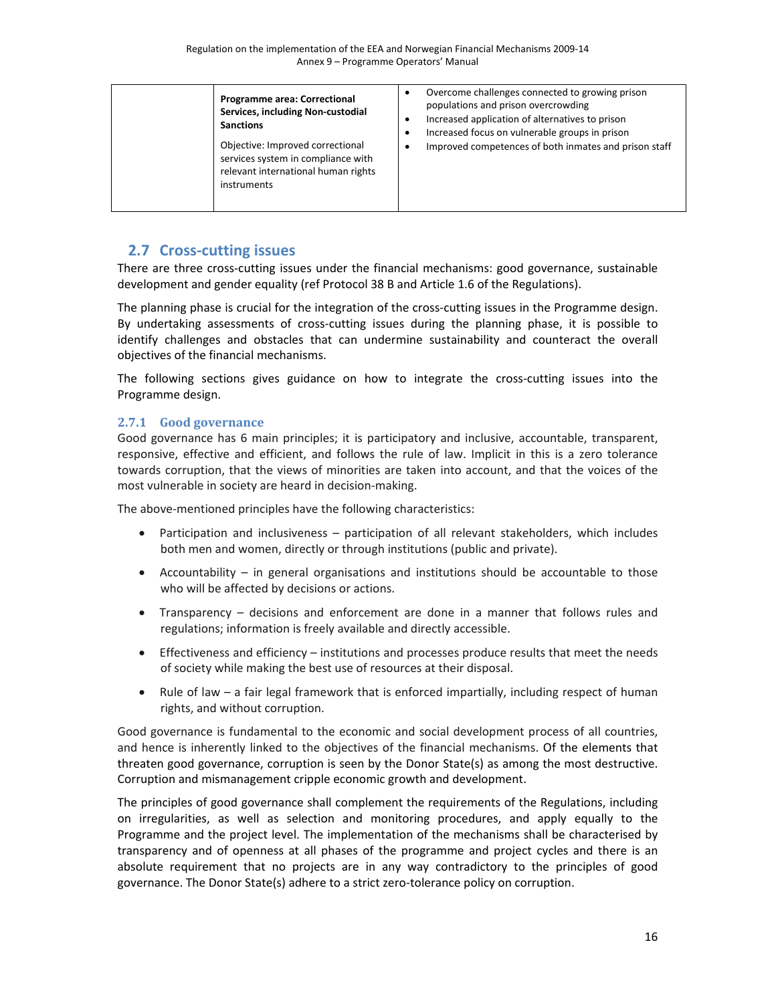| <b>Programme area: Correctional</b><br>Services, including Non-custodial<br><b>Sanctions</b><br>Objective: Improved correctional<br>services system in compliance with<br>relevant international human rights<br>instruments | Overcome challenges connected to growing prison<br>populations and prison overcrowding<br>Increased application of alternatives to prison<br>Increased focus on vulnerable groups in prison<br>Improved competences of both inmates and prison staff |
|------------------------------------------------------------------------------------------------------------------------------------------------------------------------------------------------------------------------------|------------------------------------------------------------------------------------------------------------------------------------------------------------------------------------------------------------------------------------------------------|
|------------------------------------------------------------------------------------------------------------------------------------------------------------------------------------------------------------------------------|------------------------------------------------------------------------------------------------------------------------------------------------------------------------------------------------------------------------------------------------------|

# **2.7 Cross‐cutting issues**

There are three cross-cutting issues under the financial mechanisms: good governance, sustainable development and gender equality (ref Protocol 38 B and Article 1.6 of the Regulations).

The planning phase is crucial for the integration of the cross-cutting issues in the Programme design. By undertaking assessments of cross-cutting issues during the planning phase, it is possible to identify challenges and obstacles that can undermine sustainability and counteract the overall objectives of the financial mechanisms.

The following sections gives guidance on how to integrate the cross-cutting issues into the Programme design.

## **2.7.1 Good governance**

Good governance has 6 main principles; it is participatory and inclusive, accountable, transparent, responsive, effective and efficient, and follows the rule of law. Implicit in this is a zero tolerance towards corruption, that the views of minorities are taken into account, and that the voices of the most vulnerable in society are heard in decision‐making.

The above-mentioned principles have the following characteristics:

- Participation and inclusiveness participation of all relevant stakeholders, which includes both men and women, directly or through institutions (public and private).
- Accountability in general organisations and institutions should be accountable to those who will be affected by decisions or actions.
- Transparency decisions and enforcement are done in a manner that follows rules and regulations; information is freely available and directly accessible.
- Effectiveness and efficiency institutions and processes produce results that meet the needs of society while making the best use of resources at their disposal.
- Rule of law a fair legal framework that is enforced impartially, including respect of human rights, and without corruption.

Good governance is fundamental to the economic and social development process of all countries, and hence is inherently linked to the objectives of the financial mechanisms. Of the elements that threaten good governance, corruption is seen by the Donor State(s) as among the most destructive. Corruption and mismanagement cripple economic growth and development.

The principles of good governance shall complement the requirements of the Regulations, including on irregularities, as well as selection and monitoring procedures, and apply equally to the Programme and the project level. The implementation of the mechanisms shall be characterised by transparency and of openness at all phases of the programme and project cycles and there is an absolute requirement that no projects are in any way contradictory to the principles of good governance. The Donor State(s) adhere to a strict zero-tolerance policy on corruption.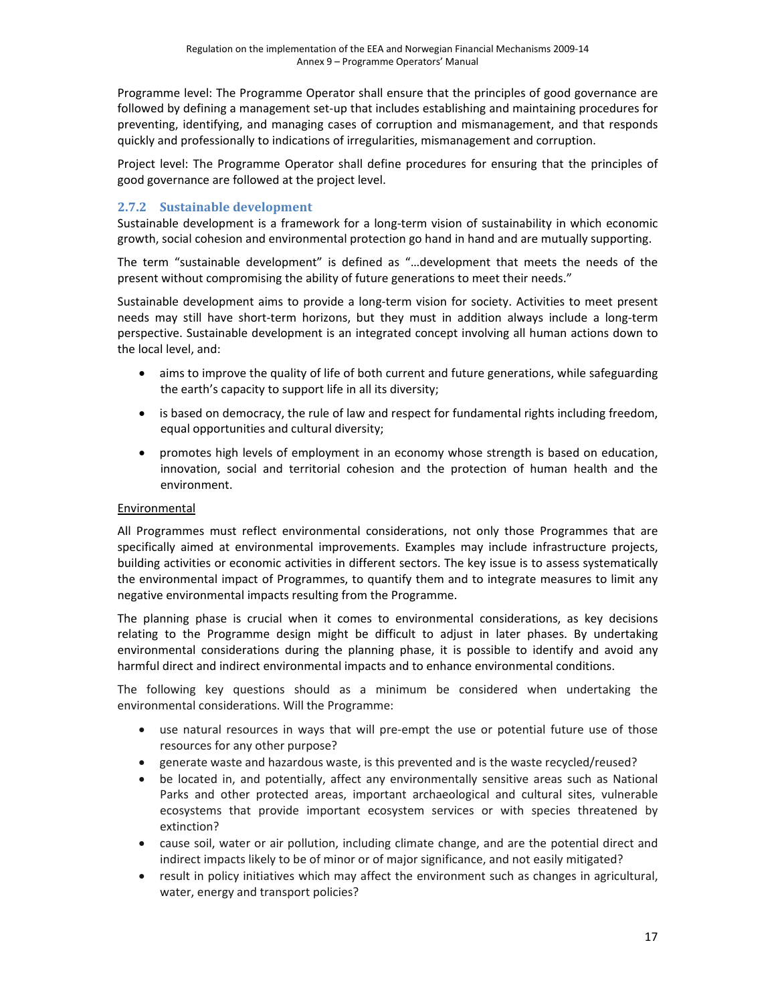Programme level: The Programme Operator shall ensure that the principles of good governance are followed by defining a management set-up that includes establishing and maintaining procedures for preventing, identifying, and managing cases of corruption and mismanagement, and that responds quickly and professionally to indications of irregularities, mismanagement and corruption.

Project level: The Programme Operator shall define procedures for ensuring that the principles of good governance are followed at the project level.

### **2.7.2** Sustainable development

Sustainable development is a framework for a long‐term vision of sustainability in which economic growth, social cohesion and environmental protection go hand in hand and are mutually supporting.

The term "sustainable development" is defined as "…development that meets the needs of the present without compromising the ability of future generations to meet their needs."

Sustainable development aims to provide a long‐term vision for society. Activities to meet present needs may still have short-term horizons, but they must in addition always include a long-term perspective. Sustainable development is an integrated concept involving all human actions down to the local level, and:

- aims to improve the quality of life of both current and future generations, while safeguarding the earth's capacity to support life in all its diversity;
- is based on democracy, the rule of law and respect for fundamental rights including freedom, equal opportunities and cultural diversity;
- promotes high levels of employment in an economy whose strength is based on education, innovation, social and territorial cohesion and the protection of human health and the environment.

#### Environmental

All Programmes must reflect environmental considerations, not only those Programmes that are specifically aimed at environmental improvements. Examples may include infrastructure projects, building activities or economic activities in different sectors. The key issue is to assess systematically the environmental impact of Programmes, to quantify them and to integrate measures to limit any negative environmental impacts resulting from the Programme.

The planning phase is crucial when it comes to environmental considerations, as key decisions relating to the Programme design might be difficult to adjust in later phases. By undertaking environmental considerations during the planning phase, it is possible to identify and avoid any harmful direct and indirect environmental impacts and to enhance environmental conditions.

The following key questions should as a minimum be considered when undertaking the environmental considerations. Will the Programme:

- use natural resources in ways that will pre-empt the use or potential future use of those resources for any other purpose?
- generate waste and hazardous waste, is this prevented and is the waste recycled/reused?
- be located in, and potentially, affect any environmentally sensitive areas such as National Parks and other protected areas, important archaeological and cultural sites, vulnerable ecosystems that provide important ecosystem services or with species threatened by extinction?
- cause soil, water or air pollution, including climate change, and are the potential direct and indirect impacts likely to be of minor or of major significance, and not easily mitigated?
- result in policy initiatives which may affect the environment such as changes in agricultural, water, energy and transport policies?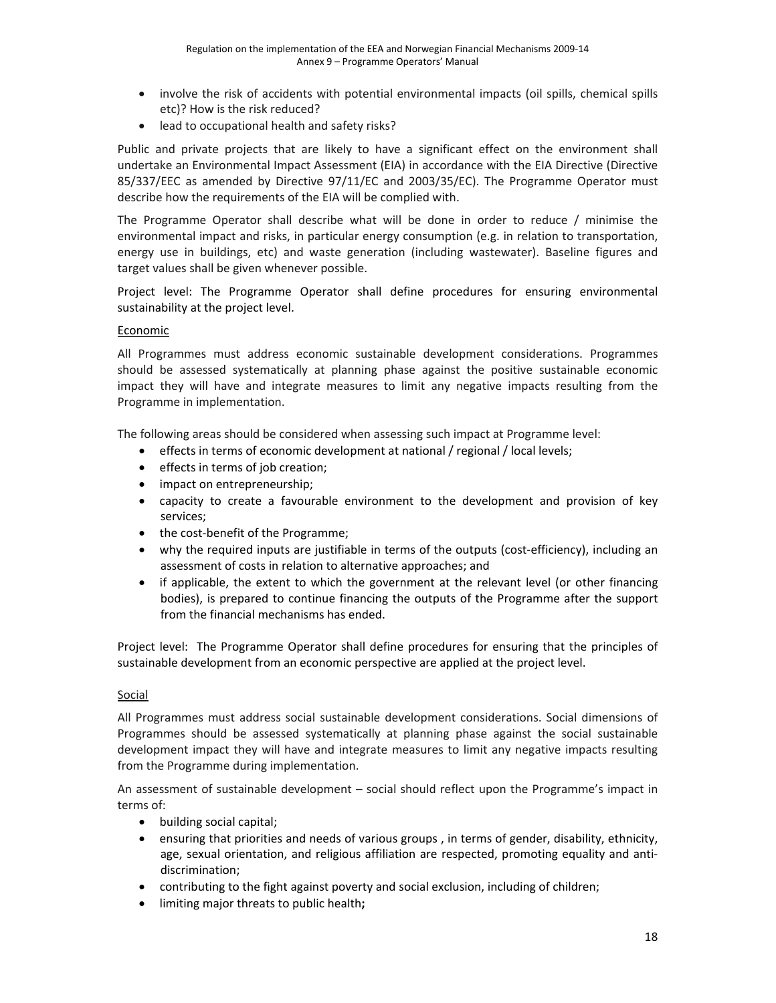- involve the risk of accidents with potential environmental impacts (oil spills, chemical spills etc)? How is the risk reduced?
- lead to occupational health and safety risks?

Public and private projects that are likely to have a significant effect on the environment shall undertake an Environmental Impact Assessment (EIA) in accordance with the EIA Directive (Directive 85/337/EEC as amended by Directive 97/11/EC and 2003/35/EC). The Programme Operator must describe how the requirements of the EIA will be complied with.

The Programme Operator shall describe what will be done in order to reduce / minimise the environmental impact and risks, in particular energy consumption (e.g. in relation to transportation, energy use in buildings, etc) and waste generation (including wastewater). Baseline figures and target values shall be given whenever possible.

Project level: The Programme Operator shall define procedures for ensuring environmental sustainability at the project level.

#### Economic

All Programmes must address economic sustainable development considerations. Programmes should be assessed systematically at planning phase against the positive sustainable economic impact they will have and integrate measures to limit any negative impacts resulting from the Programme in implementation.

The following areas should be considered when assessing such impact at Programme level:

- effects in terms of economic development at national / regional / local levels;
- effects in terms of job creation;
- impact on entrepreneurship;
- capacity to create a favourable environment to the development and provision of key services;
- the cost-benefit of the Programme;
- why the required inputs are justifiable in terms of the outputs (cost-efficiency), including an assessment of costs in relation to alternative approaches; and
- if applicable, the extent to which the government at the relevant level (or other financing bodies), is prepared to continue financing the outputs of the Programme after the support from the financial mechanisms has ended.

Project level: The Programme Operator shall define procedures for ensuring that the principles of sustainable development from an economic perspective are applied at the project level.

#### **Social**

All Programmes must address social sustainable development considerations. Social dimensions of Programmes should be assessed systematically at planning phase against the social sustainable development impact they will have and integrate measures to limit any negative impacts resulting from the Programme during implementation.

An assessment of sustainable development – social should reflect upon the Programme's impact in terms of:

- building social capital;
- ensuring that priorities and needs of various groups , in terms of gender, disability, ethnicity, age, sexual orientation, and religious affiliation are respected, promoting equality and antidiscrimination;
- contributing to the fight against poverty and social exclusion, including of children;
- limiting major threats to public health**;**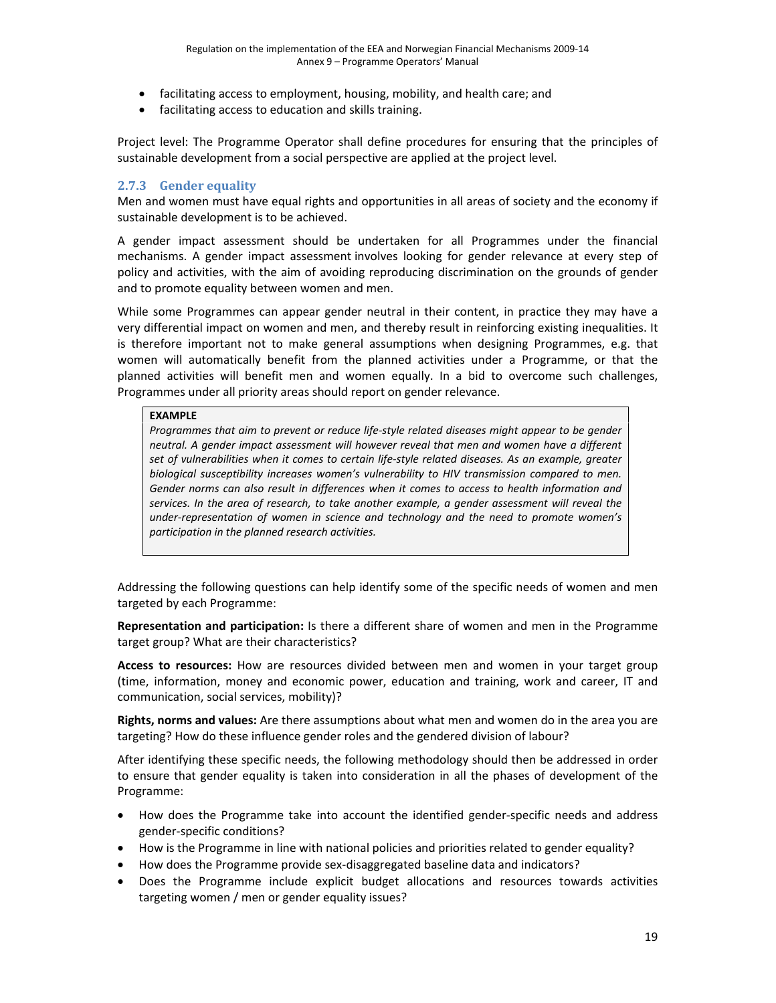- facilitating access to employment, housing, mobility, and health care; and
- facilitating access to education and skills training.

Project level: The Programme Operator shall define procedures for ensuring that the principles of sustainable development from a social perspective are applied at the project level.

### **2.7.3 Gender equality**

Men and women must have equal rights and opportunities in all areas of society and the economy if sustainable development is to be achieved.

A gender impact assessment should be undertaken for all Programmes under the financial mechanisms. A gender impact assessment involves looking for gender relevance at every step of policy and activities, with the aim of avoiding reproducing discrimination on the grounds of gender and to promote equality between women and men.

While some Programmes can appear gender neutral in their content, in practice they may have a very differential impact on women and men, and thereby result in reinforcing existing inequalities. It is therefore important not to make general assumptions when designing Programmes, e.g. that women will automatically benefit from the planned activities under a Programme, or that the planned activities will benefit men and women equally. In a bid to overcome such challenges, Programmes under all priority areas should report on gender relevance.

#### **EXAMPLE**

*Programmes that aim to prevent or reduce life‐style related diseases might appear to be gender neutral. A gender impact assessment will however reveal that men and women have a different set of vulnerabilities when it comes to certain life‐style related diseases. As an example, greater biological susceptibility increases women's vulnerability to HIV transmission compared to men. Gender norms can also result in differences when it comes to access to health information and services. In the area of research, to take another example, a gender assessment will reveal the under‐representation of women in science and technology and the need to promote women's participation in the planned research activities.*

Addressing the following questions can help identify some of the specific needs of women and men targeted by each Programme:

**Representation and participation:** Is there a different share of women and men in the Programme target group? What are their characteristics?

**Access to resources:** How are resources divided between men and women in your target group (time, information, money and economic power, education and training, work and career, IT and communication, social services, mobility)?

**Rights, norms and values:** Are there assumptions about what men and women do in the area you are targeting? How do these influence gender roles and the gendered division of labour?

After identifying these specific needs, the following methodology should then be addressed in order to ensure that gender equality is taken into consideration in all the phases of development of the Programme:

- How does the Programme take into account the identified gender‐specific needs and address gender‐specific conditions?
- How is the Programme in line with national policies and priorities related to gender equality?
- How does the Programme provide sex-disaggregated baseline data and indicators?
- Does the Programme include explicit budget allocations and resources towards activities targeting women / men or gender equality issues?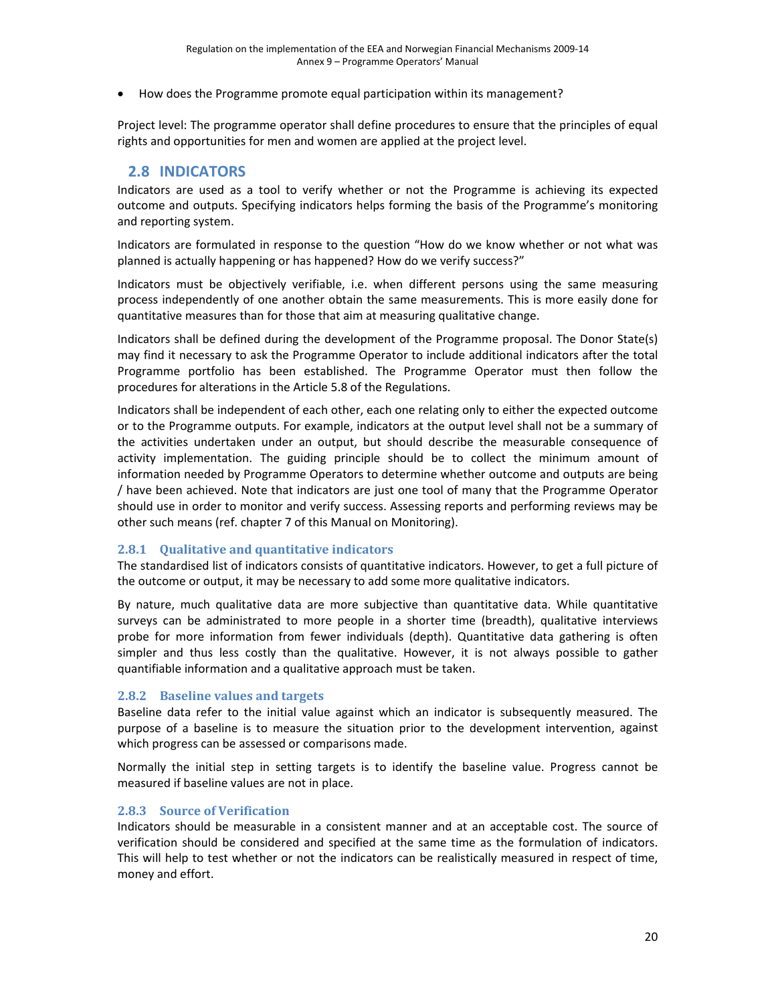• How does the Programme promote equal participation within its management?

Project level: The programme operator shall define procedures to ensure that the principles of equal rights and opportunities for men and women are applied at the project level.

## **2.8 INDICATORS**

Indicators are used as a tool to verify whether or not the Programme is achieving its expected outcome and outputs. Specifying indicators helps forming the basis of the Programme's monitoring and reporting system.

Indicators are formulated in response to the question "How do we know whether or not what was planned is actually happening or has happened? How do we verify success?"

Indicators must be objectively verifiable, i.e. when different persons using the same measuring process independently of one another obtain the same measurements. This is more easily done for quantitative measures than for those that aim at measuring qualitative change.

Indicators shall be defined during the development of the Programme proposal. The Donor State(s) may find it necessary to ask the Programme Operator to include additional indicators after the total Programme portfolio has been established. The Programme Operator must then follow the procedures for alterations in the Article 5.8 of the Regulations.

Indicators shall be independent of each other, each one relating only to either the expected outcome or to the Programme outputs. For example, indicators at the output level shall not be a summary of the activities undertaken under an output, but should describe the measurable consequence of activity implementation. The guiding principle should be to collect the minimum amount of information needed by Programme Operators to determine whether outcome and outputs are being / have been achieved. Note that indicators are just one tool of many that the Programme Operator should use in order to monitor and verify success. Assessing reports and performing reviews may be other such means (ref. chapter 7 of this Manual on Monitoring).

### **2.8.1 Qualitative and quantitative indicators**

The standardised list of indicators consists of quantitative indicators. However, to get a full picture of the outcome or output, it may be necessary to add some more qualitative indicators.

By nature, much qualitative data are more subjective than quantitative data. While quantitative surveys can be administrated to more people in a shorter time (breadth), qualitative interviews probe for more information from fewer individuals (depth). Quantitative data gathering is often simpler and thus less costly than the qualitative. However, it is not always possible to gather quantifiable information and a qualitative approach must be taken.

#### **2.8.2 Baseline values and targets**

Baseline data refer to the initial value against which an indicator is subsequently measured. The purpose of a baseline is to measure the situation prior to the development intervention, against which progress can be assessed or comparisons made.

Normally the initial step in setting targets is to identify the baseline value. Progress cannot be measured if baseline values are not in place.

#### **2.8.3 Source of Verification**

Indicators should be measurable in a consistent manner and at an acceptable cost. The source of verification should be considered and specified at the same time as the formulation of indicators. This will help to test whether or not the indicators can be realistically measured in respect of time, money and effort.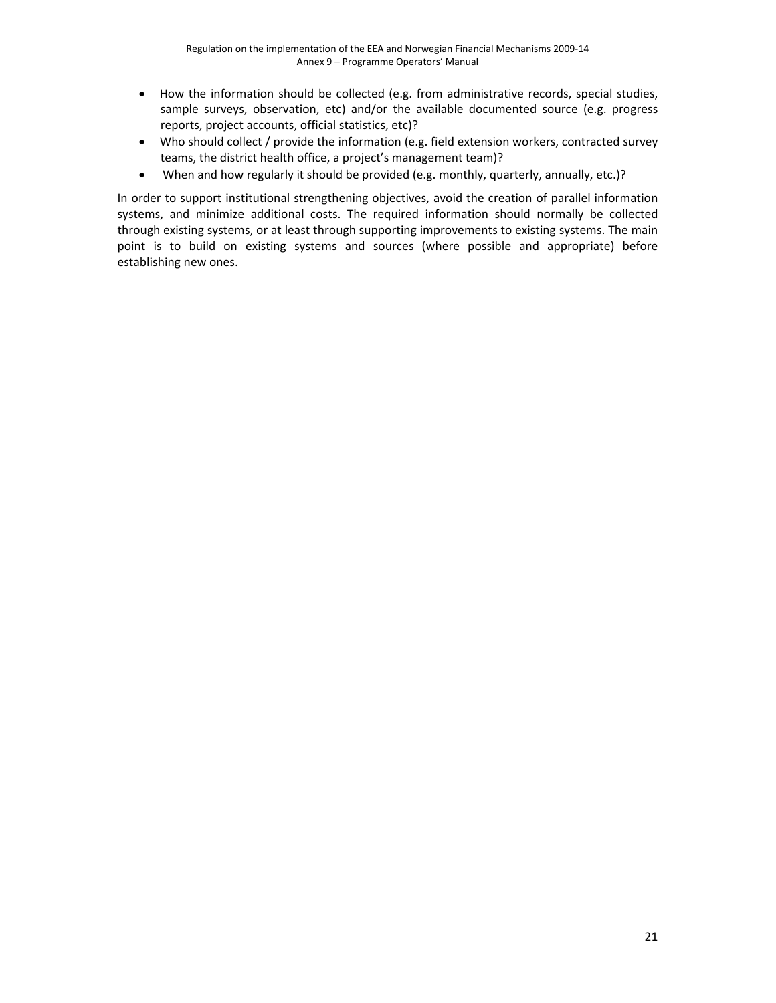- How the information should be collected (e.g. from administrative records, special studies, sample surveys, observation, etc) and/or the available documented source (e.g. progress reports, project accounts, official statistics, etc)?
- Who should collect / provide the information (e.g. field extension workers, contracted survey teams, the district health office, a project's management team)?
- When and how regularly it should be provided (e.g. monthly, quarterly, annually, etc.)?

In order to support institutional strengthening objectives, avoid the creation of parallel information systems, and minimize additional costs. The required information should normally be collected through existing systems, or at least through supporting improvements to existing systems. The main point is to build on existing systems and sources (where possible and appropriate) before establishing new ones.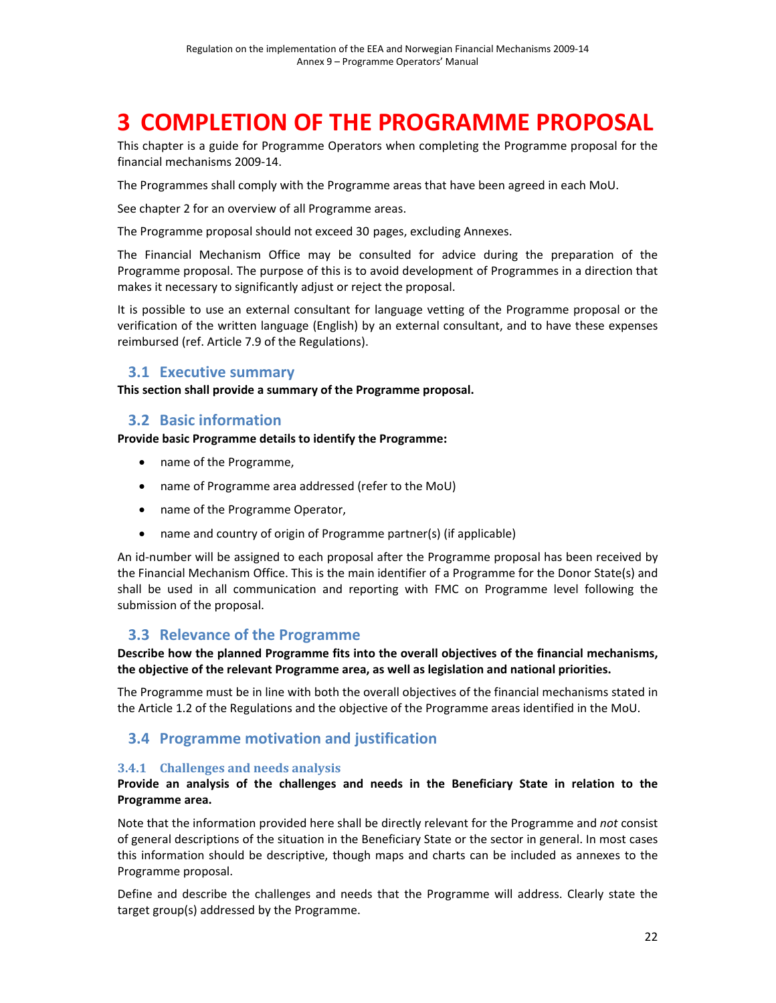# **3 COMPLETION OF THE PROGRAMME PROPOSAL**

This chapter is a guide for Programme Operators when completing the Programme proposal for the financial mechanisms 2009‐14.

The Programmes shall comply with the Programme areas that have been agreed in each MoU.

See chapter 2 for an overview of all Programme areas.

The Programme proposal should not exceed 30 pages, excluding Annexes.

The Financial Mechanism Office may be consulted for advice during the preparation of the Programme proposal. The purpose of this is to avoid development of Programmes in a direction that makes it necessary to significantly adjust or reject the proposal.

It is possible to use an external consultant for language vetting of the Programme proposal or the verification of the written language (English) by an external consultant, and to have these expenses reimbursed (ref. Article 7.9 of the Regulations).

### **3.1 Executive summary**

**This section shall provide a summary of the Programme proposal.**

## **3.2 Basic information**

**Provide basic Programme details to identify the Programme:**

- name of the Programme,
- name of Programme area addressed (refer to the MoU)
- name of the Programme Operator,
- name and country of origin of Programme partner(s) (if applicable)

An id-number will be assigned to each proposal after the Programme proposal has been received by the Financial Mechanism Office. This is the main identifier of a Programme for the Donor State(s) and shall be used in all communication and reporting with FMC on Programme level following the submission of the proposal.

## **3.3 Relevance of the Programme**

**Describe how the planned Programme fits into the overall objectives of the financial mechanisms, the objective of the relevant Programme area, as well as legislation and national priorities.**

The Programme must be in line with both the overall objectives of the financial mechanisms stated in the Article 1.2 of the Regulations and the objective of the Programme areas identified in the MoU.

# **3.4 Programme motivation and justification**

#### **3.4.1 Challenges and needs analysis**

#### **Provide an analysis of the challenges and needs in the Beneficiary State in relation to the Programme area.**

Note that the information provided here shall be directly relevant for the Programme and *not* consist of general descriptions of the situation in the Beneficiary State or the sector in general. In most cases this information should be descriptive, though maps and charts can be included as annexes to the Programme proposal.

Define and describe the challenges and needs that the Programme will address. Clearly state the target group(s) addressed by the Programme.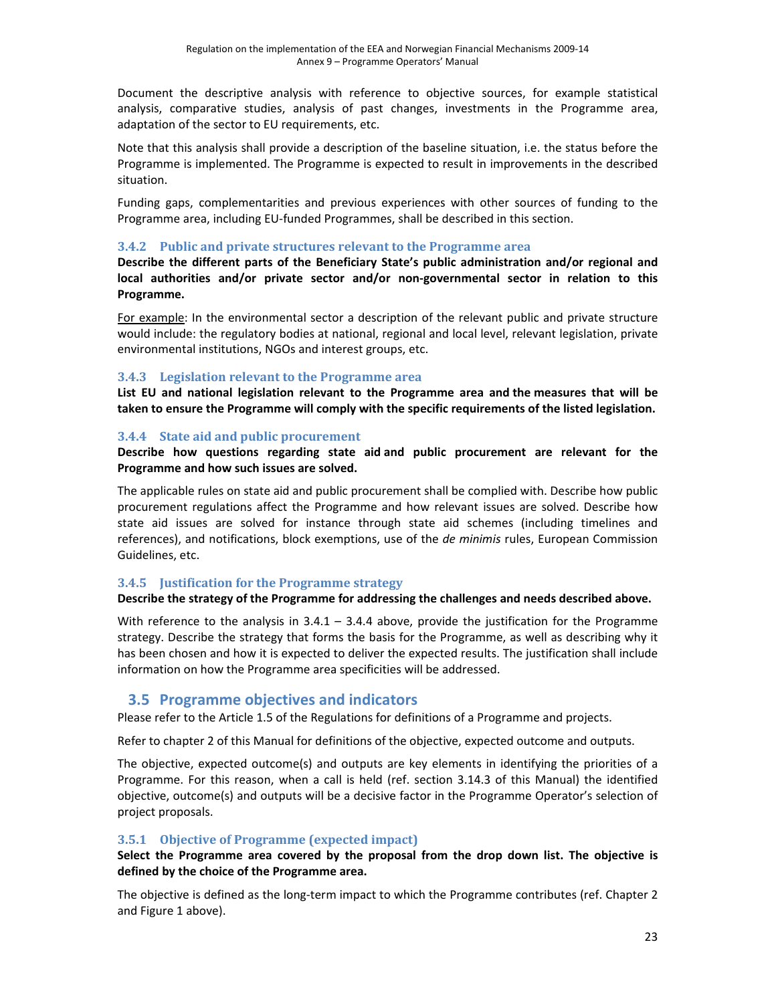Document the descriptive analysis with reference to objective sources, for example statistical analysis, comparative studies, analysis of past changes, investments in the Programme area, adaptation of the sector to EU requirements, etc.

Note that this analysis shall provide a description of the baseline situation, i.e. the status before the Programme is implemented. The Programme is expected to result in improvements in the described situation.

Funding gaps, complementarities and previous experiences with other sources of funding to the Programme area, including EU‐funded Programmes, shall be described in this section.

#### **3.4.2 Public and private structures relevant to the Programme area**

**Describe the different parts of the Beneficiary State's public administration and/or regional and local authorities and/or private sector and/or non‐governmental sector in relation to this Programme.** 

For example: In the environmental sector a description of the relevant public and private structure would include: the regulatory bodies at national, regional and local level, relevant legislation, private environmental institutions, NGOs and interest groups, etc.

### **3.4.3 Legislation relevant to the Programme area**

**List EU and national legislation relevant to the Programme area and the measures that will be taken to ensure the Programme will comply with the specific requirements of the listed legislation.**

### **3.4.4 State aid and public procurement**

**Describe how questions regarding state aid and public procurement are relevant for the Programme and how such issues are solved.** 

The applicable rules on state aid and public procurement shall be complied with. Describe how public procurement regulations affect the Programme and how relevant issues are solved. Describe how state aid issues are solved for instance through state aid schemes (including timelines and references), and notifications, block exemptions, use of the *de minimis* rules, European Commission Guidelines, etc.

#### **3.4.5 Justification for the Programme strategy**

#### **Describe the strategy of the Programme for addressing the challenges and needs described above.**

With reference to the analysis in  $3.4.1 - 3.4.4$  above, provide the justification for the Programme strategy. Describe the strategy that forms the basis for the Programme, as well as describing why it has been chosen and how it is expected to deliver the expected results. The justification shall include information on how the Programme area specificities will be addressed.

## **3.5 Programme objectives and indicators**

Please refer to the Article 1.5 of the Regulations for definitions of a Programme and projects.

Refer to chapter 2 of this Manual for definitions of the objective, expected outcome and outputs.

The objective, expected outcome(s) and outputs are key elements in identifying the priorities of a Programme. For this reason, when a call is held (ref. section 3.14.3 of this Manual) the identified objective, outcome(s) and outputs will be a decisive factor in the Programme Operator's selection of project proposals.

### **3.5.1 Objective of Programme (expected impact)**

#### **Select the Programme area covered by the proposal from the drop down list. The objective is defined by the choice of the Programme area.**

The objective is defined as the long‐term impact to which the Programme contributes (ref. Chapter 2 and Figure 1 above).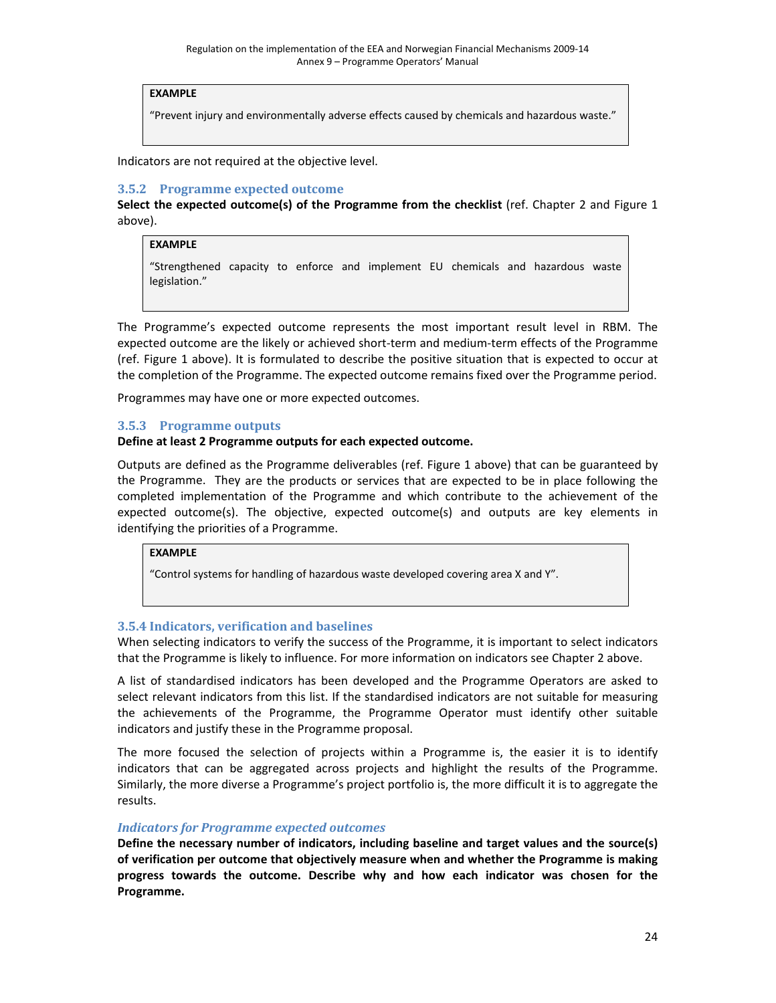#### **EXAMPLE**

"Prevent injury and environmentally adverse effects caused by chemicals and hazardous waste."

Indicators are not required at the objective level.

#### **3.5.2 Programme expected outcome**

**Select the expected outcome(s) of the Programme from the checklist** (ref. Chapter 2 and Figure 1 above).

### **EXAMPLE**

"Strengthened capacity to enforce and implement EU chemicals and hazardous waste legislation."

The Programme's expected outcome represents the most important result level in RBM. The expected outcome are the likely or achieved short-term and medium-term effects of the Programme (ref. Figure 1 above). It is formulated to describe the positive situation that is expected to occur at the completion of the Programme. The expected outcome remains fixed over the Programme period.

Programmes may have one or more expected outcomes.

#### **3.5.3 Programme outputs**

#### **Define at least 2 Programme outputs for each expected outcome.**

Outputs are defined as the Programme deliverables (ref. Figure 1 above) that can be guaranteed by the Programme. They are the products or services that are expected to be in place following the completed implementation of the Programme and which contribute to the achievement of the expected outcome(s). The objective, expected outcome(s) and outputs are key elements in identifying the priorities of a Programme.

#### **EXAMPLE**

"Control systems for handling of hazardous waste developed covering area X and Y".

#### **3.5.4 Indicators, verification and baselines**

When selecting indicators to verify the success of the Programme, it is important to select indicators that the Programme is likely to influence. For more information on indicators see Chapter 2 above.

A list of standardised indicators has been developed and the Programme Operators are asked to select relevant indicators from this list. If the standardised indicators are not suitable for measuring the achievements of the Programme, the Programme Operator must identify other suitable indicators and justify these in the Programme proposal.

The more focused the selection of projects within a Programme is, the easier it is to identify indicators that can be aggregated across projects and highlight the results of the Programme. Similarly, the more diverse a Programme's project portfolio is, the more difficult it is to aggregate the results.

#### *Indicators for Programme expected outcomes*

**Define the necessary number of indicators, including baseline and target values and the source(s) of verification per outcome that objectively measure when and whether the Programme is making progress towards the outcome. Describe why and how each indicator was chosen for the Programme.**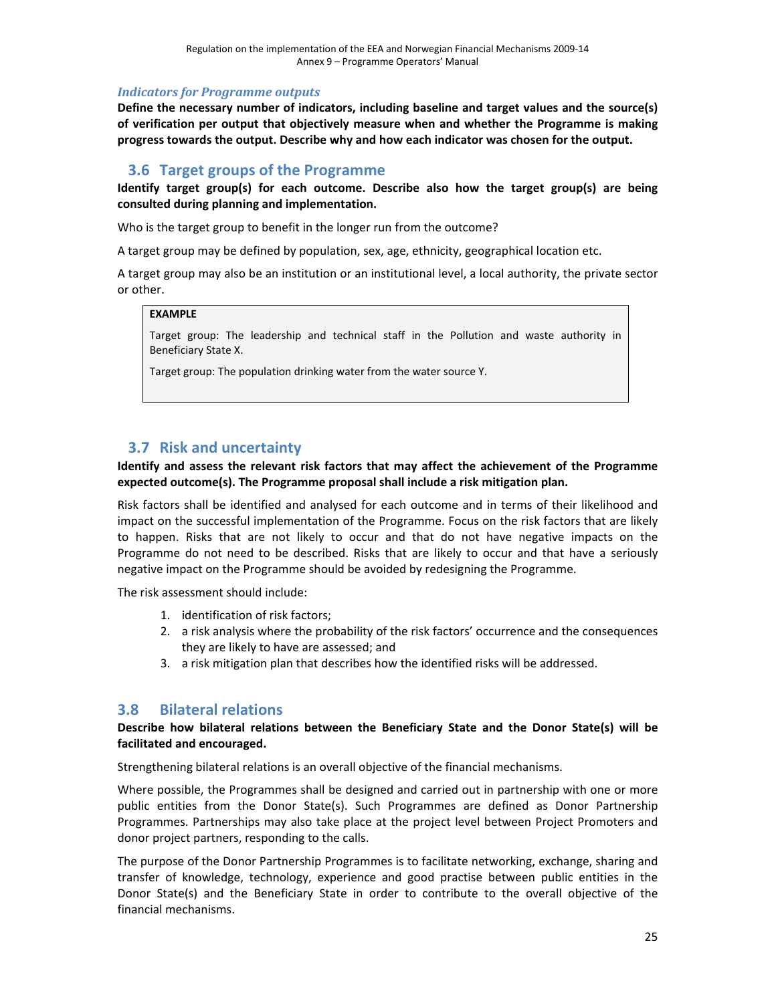#### *Indicators for Programme outputs*

**Define the necessary number of indicators, including baseline and target values and the source(s) of verification per output that objectively measure when and whether the Programme is making progress towards the output. Describe why and how each indicator was chosen for the output.**

## **3.6 Target groups of the Programme**

**Identify target group(s) for each outcome. Describe also how the target group(s) are being consulted during planning and implementation.**

Who is the target group to benefit in the longer run from the outcome?

A target group may be defined by population, sex, age, ethnicity, geographical location etc.

A target group may also be an institution or an institutional level, a local authority, the private sector or other.

#### **EXAMPLE**

Target group: The leadership and technical staff in the Pollution and waste authority in Beneficiary State X.

Target group: The population drinking water from the water source Y.

# **3.7 Risk and uncertainty**

**Identify and assess the relevant risk factors that may affect the achievement of the Programme expected outcome(s). The Programme proposal shall include a risk mitigation plan.**

Risk factors shall be identified and analysed for each outcome and in terms of their likelihood and impact on the successful implementation of the Programme. Focus on the risk factors that are likely to happen. Risks that are not likely to occur and that do not have negative impacts on the Programme do not need to be described. Risks that are likely to occur and that have a seriously negative impact on the Programme should be avoided by redesigning the Programme.

The risk assessment should include:

- 1. identification of risk factors;
- 2. a risk analysis where the probability of the risk factors' occurrence and the consequences they are likely to have are assessed; and
- 3. a risk mitigation plan that describes how the identified risks will be addressed.

## **3.8 Bilateral relations**

#### **Describe how bilateral relations between the Beneficiary State and the Donor State(s) will be facilitated and encouraged.**

Strengthening bilateral relations is an overall objective of the financial mechanisms.

Where possible, the Programmes shall be designed and carried out in partnership with one or more public entities from the Donor State(s). Such Programmes are defined as Donor Partnership Programmes. Partnerships may also take place at the project level between Project Promoters and donor project partners, responding to the calls.

The purpose of the Donor Partnership Programmes is to facilitate networking, exchange, sharing and transfer of knowledge, technology, experience and good practise between public entities in the Donor State(s) and the Beneficiary State in order to contribute to the overall objective of the financial mechanisms.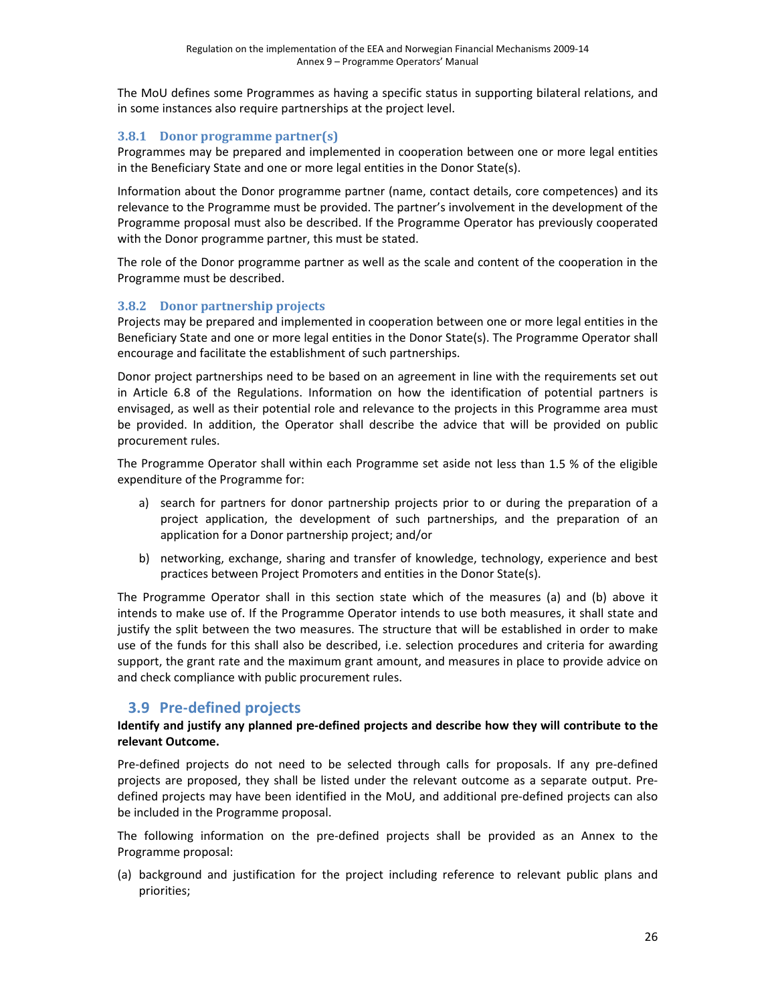The MoU defines some Programmes as having a specific status in supporting bilateral relations, and in some instances also require partnerships at the project level.

### **3.8.1 Donor programme partner(s)**

Programmes may be prepared and implemented in cooperation between one or more legal entities in the Beneficiary State and one or more legal entities in the Donor State(s).

Information about the Donor programme partner (name, contact details, core competences) and its relevance to the Programme must be provided. The partner's involvement in the development of the Programme proposal must also be described. If the Programme Operator has previously cooperated with the Donor programme partner, this must be stated.

The role of the Donor programme partner as well as the scale and content of the cooperation in the Programme must be described.

## **3.8.2 Donor partnership projects**

Projects may be prepared and implemented in cooperation between one or more legal entities in the Beneficiary State and one or more legal entities in the Donor State(s). The Programme Operator shall encourage and facilitate the establishment of such partnerships.

Donor project partnerships need to be based on an agreement in line with the requirements set out in Article 6.8 of the Regulations. Information on how the identification of potential partners is envisaged, as well as their potential role and relevance to the projects in this Programme area must be provided. In addition, the Operator shall describe the advice that will be provided on public procurement rules.

The Programme Operator shall within each Programme set aside not less than 1.5 % of the eligible expenditure of the Programme for:

- a) search for partners for donor partnership projects prior to or during the preparation of a project application, the development of such partnerships, and the preparation of an application for a Donor partnership project; and/or
- b) networking, exchange, sharing and transfer of knowledge, technology, experience and best practices between Project Promoters and entities in the Donor State(s).

The Programme Operator shall in this section state which of the measures (a) and (b) above it intends to make use of. If the Programme Operator intends to use both measures, it shall state and justify the split between the two measures. The structure that will be established in order to make use of the funds for this shall also be described, i.e. selection procedures and criteria for awarding support, the grant rate and the maximum grant amount, and measures in place to provide advice on and check compliance with public procurement rules.

# **3.9 Pre‐defined projects**

#### **Identify and justify any planned pre‐defined projects and describe how they will contribute to the relevant Outcome.**

Pre-defined projects do not need to be selected through calls for proposals. If any pre-defined projects are proposed, they shall be listed under the relevant outcome as a separate output. Pre‐ defined projects may have been identified in the MoU, and additional pre‐defined projects can also be included in the Programme proposal.

The following information on the pre-defined projects shall be provided as an Annex to the Programme proposal:

(a) background and justification for the project including reference to relevant public plans and priorities;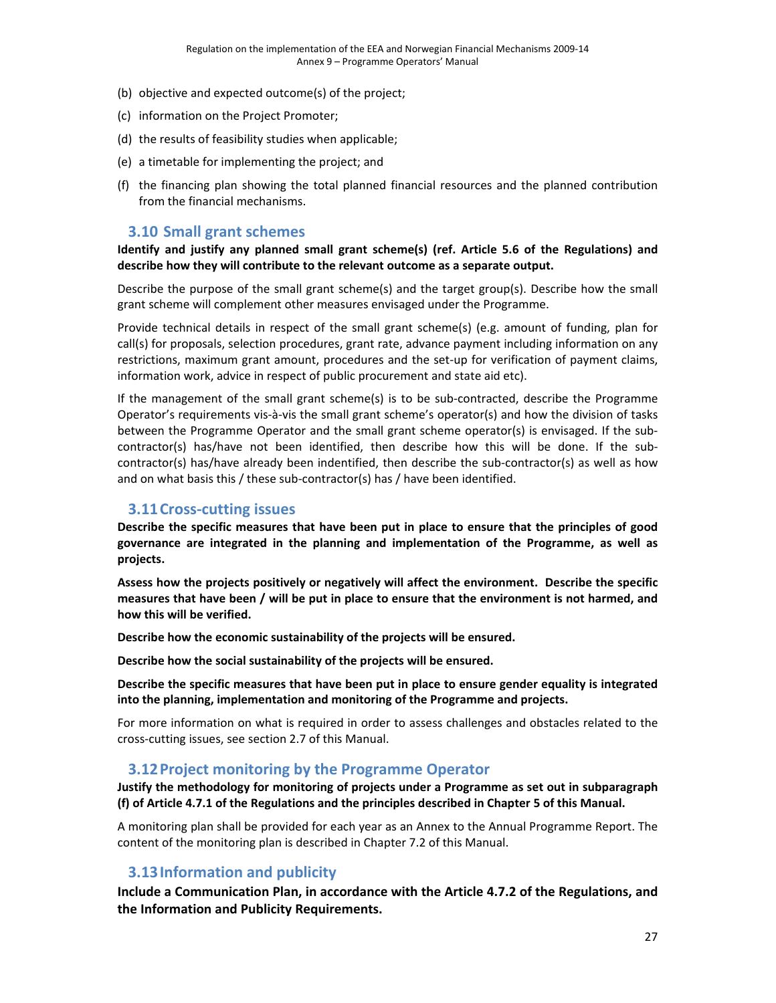- (b) objective and expected outcome(s) of the project;
- (c) information on the Project Promoter;
- (d) the results of feasibility studies when applicable;
- (e) a timetable for implementing the project; and
- (f) the financing plan showing the total planned financial resources and the planned contribution from the financial mechanisms.

### **3.10 Small grant schemes**

**Identify and justify any planned small grant scheme(s) (ref. Article 5.6 of the Regulations) and describe how they will contribute to the relevant outcome as a separate output.**

Describe the purpose of the small grant scheme(s) and the target group(s). Describe how the small grant scheme will complement other measures envisaged under the Programme.

Provide technical details in respect of the small grant scheme(s) (e.g. amount of funding, plan for call(s) for proposals, selection procedures, grant rate, advance payment including information on any restrictions, maximum grant amount, procedures and the set‐up for verification of payment claims, information work, advice in respect of public procurement and state aid etc).

If the management of the small grant scheme(s) is to be sub-contracted, describe the Programme Operator's requirements vis‐à‐vis the small grant scheme's operator(s) and how the division of tasks between the Programme Operator and the small grant scheme operator(s) is envisaged. If the subcontractor(s) has/have not been identified, then describe how this will be done. If the sub‐ contractor(s) has/have already been indentified, then describe the sub‐contractor(s) as well as how and on what basis this / these sub-contractor(s) has / have been identified.

### **3.11Cross‐cutting issues**

**Describe the specific measures that have been put in place to ensure that the principles of good governance are integrated in the planning and implementation of the Programme, as well as projects.** 

**Assess how the projects positively or negatively will affect the environment. Describe the specific** measures that have been / will be put in place to ensure that the environment is not harmed, and **how this will be verified.** 

**Describe how the economic sustainability of the projects will be ensured.**

**Describe how the social sustainability of the projects will be ensured.**

**Describe the specific measures that have been put in place to ensure gender equality is integrated into the planning, implementation and monitoring of the Programme and projects.** 

For more information on what is required in order to assess challenges and obstacles related to the cross‐cutting issues, see section 2.7 of this Manual.

### **3.12Project monitoring by the Programme Operator**

**Justify the methodology for monitoring of projects under a Programme as set out in subparagraph (f) of Article 4.7.1 of the Regulations and the principles described in Chapter 5 of this Manual.**

A monitoring plan shall be provided for each year as an Annex to the Annual Programme Report. The content of the monitoring plan is described in Chapter 7.2 of this Manual.

## **3.13Information and publicity**

**Include a Communication Plan, in accordance with the Article 4.7.2 of the Regulations, and the Information and Publicity Requirements.**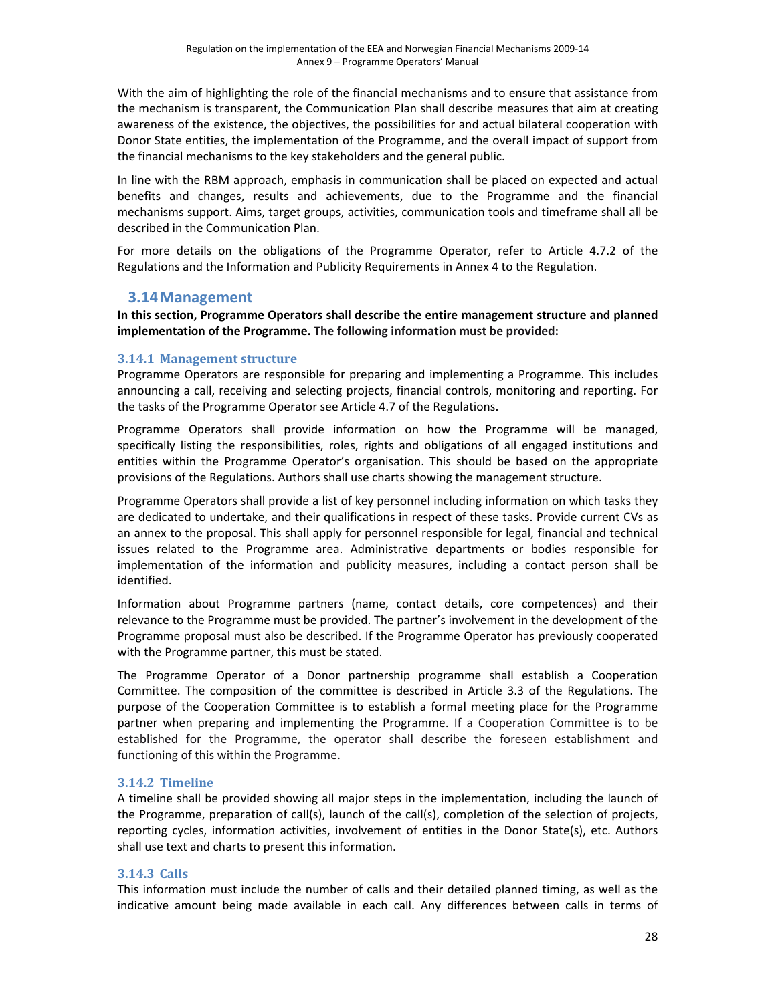With the aim of highlighting the role of the financial mechanisms and to ensure that assistance from the mechanism is transparent, the Communication Plan shall describe measures that aim at creating awareness of the existence, the objectives, the possibilities for and actual bilateral cooperation with Donor State entities, the implementation of the Programme, and the overall impact of support from the financial mechanisms to the key stakeholders and the general public.

In line with the RBM approach, emphasis in communication shall be placed on expected and actual benefits and changes, results and achievements, due to the Programme and the financial mechanisms support. Aims, target groups, activities, communication tools and timeframe shall all be described in the Communication Plan.

For more details on the obligations of the Programme Operator, refer to Article 4.7.2 of the Regulations and the Information and Publicity Requirements in Annex 4 to the Regulation.

## **3.14Management**

**In this section, Programme Operators shall describe the entire management structure and planned implementation of the Programme. The following information must be provided:**

#### **3.14.1 Management structure**

Programme Operators are responsible for preparing and implementing a Programme. This includes announcing a call, receiving and selecting projects, financial controls, monitoring and reporting. For the tasks of the Programme Operator see Article 4.7 of the Regulations.

Programme Operators shall provide information on how the Programme will be managed, specifically listing the responsibilities, roles, rights and obligations of all engaged institutions and entities within the Programme Operator's organisation. This should be based on the appropriate provisions of the Regulations. Authors shall use charts showing the management structure.

Programme Operators shall provide a list of key personnel including information on which tasks they are dedicated to undertake, and their qualifications in respect of these tasks. Provide current CVs as an annex to the proposal. This shall apply for personnel responsible for legal, financial and technical issues related to the Programme area. Administrative departments or bodies responsible for implementation of the information and publicity measures, including a contact person shall be identified.

Information about Programme partners (name, contact details, core competences) and their relevance to the Programme must be provided. The partner's involvement in the development of the Programme proposal must also be described. If the Programme Operator has previously cooperated with the Programme partner, this must be stated.

The Programme Operator of a Donor partnership programme shall establish a Cooperation Committee. The composition of the committee is described in Article 3.3 of the Regulations. The purpose of the Cooperation Committee is to establish a formal meeting place for the Programme partner when preparing and implementing the Programme. If a Cooperation Committee is to be established for the Programme, the operator shall describe the foreseen establishment and functioning of this within the Programme.

### **3.14.2 Timeline**

A timeline shall be provided showing all major steps in the implementation, including the launch of the Programme, preparation of call(s), launch of the call(s), completion of the selection of projects, reporting cycles, information activities, involvement of entities in the Donor State(s), etc. Authors shall use text and charts to present this information.

### **3.14.3 Calls**

This information must include the number of calls and their detailed planned timing, as well as the indicative amount being made available in each call. Any differences between calls in terms of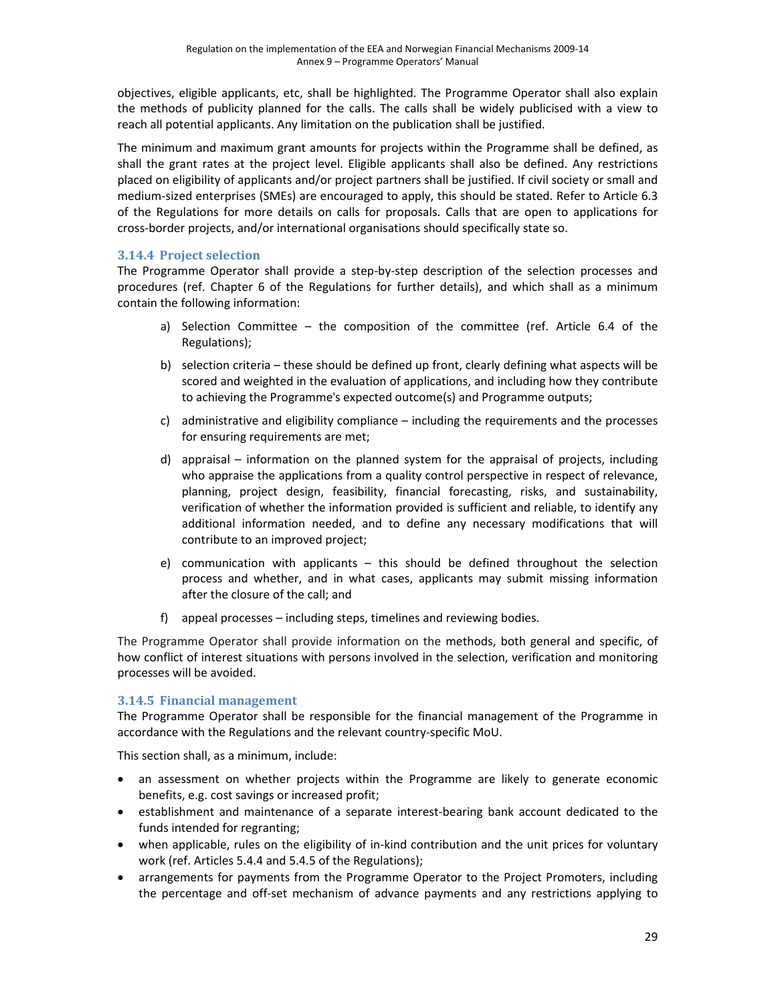objectives, eligible applicants, etc, shall be highlighted. The Programme Operator shall also explain the methods of publicity planned for the calls. The calls shall be widely publicised with a view to reach all potential applicants. Any limitation on the publication shall be justified.

The minimum and maximum grant amounts for projects within the Programme shall be defined, as shall the grant rates at the project level. Eligible applicants shall also be defined. Any restrictions placed on eligibility of applicants and/or project partners shall be justified. If civil society or small and medium‐sized enterprises (SMEs) are encouraged to apply, this should be stated. Refer to Article 6.3 of the Regulations for more details on calls for proposals. Calls that are open to applications for cross‐border projects, and/or international organisations should specifically state so.

### **3.14.4 Project selection**

The Programme Operator shall provide a step-by-step description of the selection processes and procedures (ref. Chapter 6 of the Regulations for further details), and which shall as a minimum contain the following information:

- a) Selection Committee the composition of the committee (ref. Article 6.4 of the Regulations);
- b) selection criteria these should be defined up front, clearly defining what aspects will be scored and weighted in the evaluation of applications, and including how they contribute to achieving the Programme's expected outcome(s) and Programme outputs;
- c) administrative and eligibility compliance including the requirements and the processes for ensuring requirements are met;
- d) appraisal information on the planned system for the appraisal of projects, including who appraise the applications from a quality control perspective in respect of relevance, planning, project design, feasibility, financial forecasting, risks, and sustainability, verification of whether the information provided is sufficient and reliable, to identify any additional information needed, and to define any necessary modifications that will contribute to an improved project;
- e) communication with applicants this should be defined throughout the selection process and whether, and in what cases, applicants may submit missing information after the closure of the call; and
- f) appeal processes including steps, timelines and reviewing bodies.

The Programme Operator shall provide information on the methods, both general and specific, of how conflict of interest situations with persons involved in the selection, verification and monitoring processes will be avoided.

### **3.14.5 Financial management**

The Programme Operator shall be responsible for the financial management of the Programme in accordance with the Regulations and the relevant country‐specific MoU.

This section shall, as a minimum, include:

- an assessment on whether projects within the Programme are likely to generate economic benefits, e.g. cost savings or increased profit;
- establishment and maintenance of a separate interest‐bearing bank account dedicated to the funds intended for regranting;
- when applicable, rules on the eligibility of in-kind contribution and the unit prices for voluntary work (ref. Articles 5.4.4 and 5.4.5 of the Regulations);
- arrangements for payments from the Programme Operator to the Project Promoters, including the percentage and off‐set mechanism of advance payments and any restrictions applying to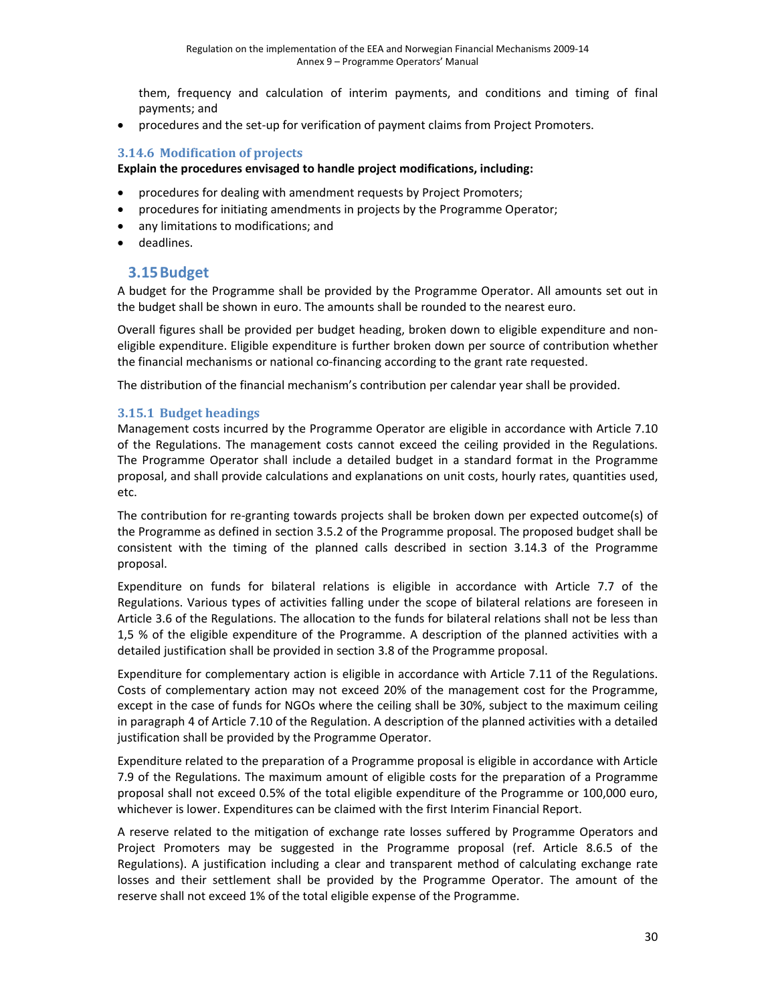them, frequency and calculation of interim payments, and conditions and timing of final payments; and

• procedures and the set-up for verification of payment claims from Project Promoters.

#### **3.14.6 Modification of projects**

#### **Explain the procedures envisaged to handle project modifications, including:**

- procedures for dealing with amendment requests by Project Promoters;
- procedures for initiating amendments in projects by the Programme Operator;
- any limitations to modifications; and
- deadlines.

### **3.15Budget**

A budget for the Programme shall be provided by the Programme Operator. All amounts set out in the budget shall be shown in euro. The amounts shall be rounded to the nearest euro.

Overall figures shall be provided per budget heading, broken down to eligible expenditure and non‐ eligible expenditure. Eligible expenditure is further broken down per source of contribution whether the financial mechanisms or national co-financing according to the grant rate requested.

The distribution of the financial mechanism's contribution per calendar year shall be provided.

#### **3.15.1 Budget headings**

Management costs incurred by the Programme Operator are eligible in accordance with Article 7.10 of the Regulations. The management costs cannot exceed the ceiling provided in the Regulations. The Programme Operator shall include a detailed budget in a standard format in the Programme proposal, and shall provide calculations and explanations on unit costs, hourly rates, quantities used, etc.

The contribution for re-granting towards projects shall be broken down per expected outcome(s) of the Programme as defined in section 3.5.2 of the Programme proposal. The proposed budget shall be consistent with the timing of the planned calls described in section 3.14.3 of the Programme proposal.

Expenditure on funds for bilateral relations is eligible in accordance with Article 7.7 of the Regulations. Various types of activities falling under the scope of bilateral relations are foreseen in Article 3.6 of the Regulations. The allocation to the funds for bilateral relations shall not be less than 1,5 % of the eligible expenditure of the Programme. A description of the planned activities with a detailed justification shall be provided in section 3.8 of the Programme proposal.

Expenditure for complementary action is eligible in accordance with Article 7.11 of the Regulations. Costs of complementary action may not exceed 20% of the management cost for the Programme, except in the case of funds for NGOs where the ceiling shall be 30%, subject to the maximum ceiling in paragraph 4 of Article 7.10 of the Regulation. A description of the planned activities with a detailed justification shall be provided by the Programme Operator.

Expenditure related to the preparation of a Programme proposal is eligible in accordance with Article 7.9 of the Regulations. The maximum amount of eligible costs for the preparation of a Programme proposal shall not exceed 0.5% of the total eligible expenditure of the Programme or 100,000 euro, whichever is lower. Expenditures can be claimed with the first Interim Financial Report.

A reserve related to the mitigation of exchange rate losses suffered by Programme Operators and Project Promoters may be suggested in the Programme proposal (ref. Article 8.6.5 of the Regulations). A justification including a clear and transparent method of calculating exchange rate losses and their settlement shall be provided by the Programme Operator. The amount of the reserve shall not exceed 1% of the total eligible expense of the Programme.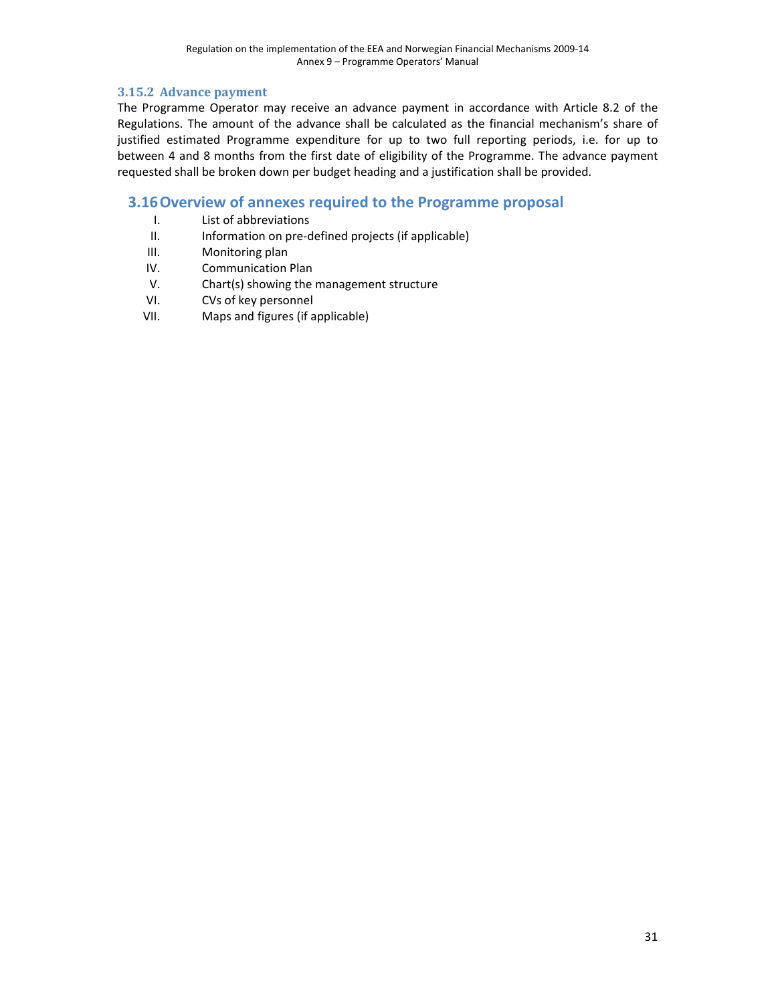### **3.15.2 Advance payment**

The Programme Operator may receive an advance payment in accordance with Article 8.2 of the Regulations. The amount of the advance shall be calculated as the financial mechanism's share of justified estimated Programme expenditure for up to two full reporting periods, i.e. for up to between 4 and 8 months from the first date of eligibility of the Programme. The advance payment requested shall be broken down per budget heading and a justification shall be provided.

## **3.16Overview of annexes required to the Programme proposal**

- I. List of abbreviations
- II. Information on pre-defined projects (if applicable)
- III. Monitoring plan
- IV. Communication Plan
- V. Chart(s) showing the management structure
- VI. CVs of key personnel
- VII. Maps and figures (if applicable)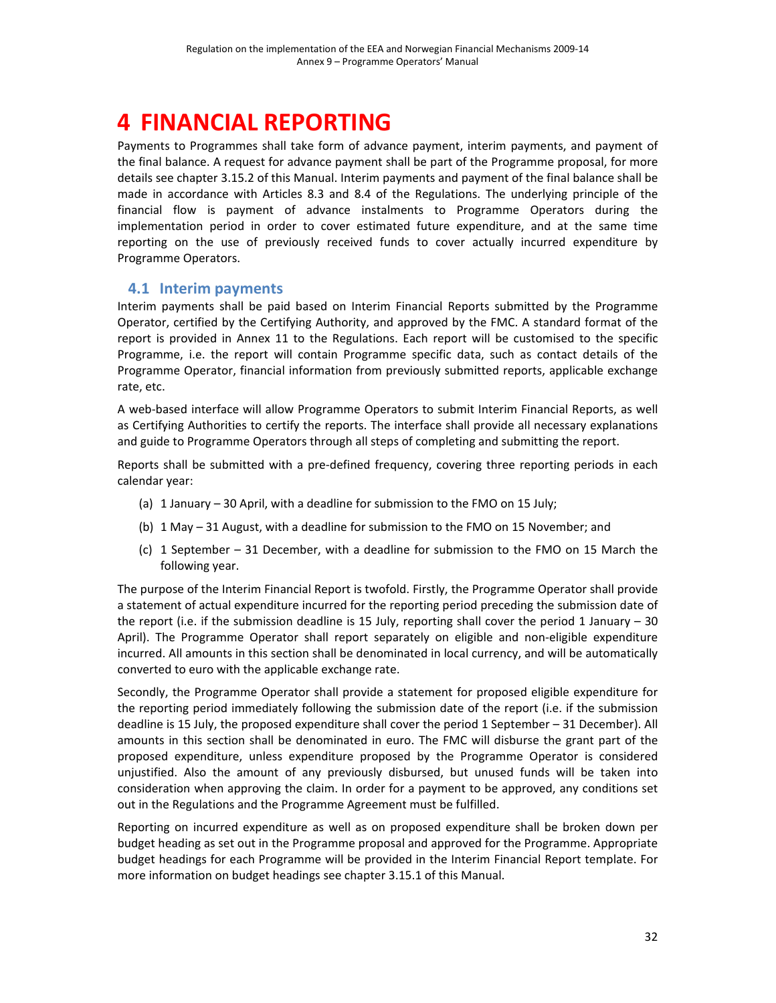# **4 FINANCIAL REPORTING**

Payments to Programmes shall take form of advance payment, interim payments, and payment of the final balance. A request for advance payment shall be part of the Programme proposal, for more details see chapter 3.15.2 of this Manual. Interim payments and payment of the final balance shall be made in accordance with Articles 8.3 and 8.4 of the Regulations. The underlying principle of the financial flow is payment of advance instalments to Programme Operators during the implementation period in order to cover estimated future expenditure, and at the same time reporting on the use of previously received funds to cover actually incurred expenditure by Programme Operators.

## **4.1 Interim payments**

Interim payments shall be paid based on Interim Financial Reports submitted by the Programme Operator, certified by the Certifying Authority, and approved by the FMC. A standard format of the report is provided in Annex 11 to the Regulations. Each report will be customised to the specific Programme, i.e. the report will contain Programme specific data, such as contact details of the Programme Operator, financial information from previously submitted reports, applicable exchange rate, etc.

A web‐based interface will allow Programme Operators to submit Interim Financial Reports, as well as Certifying Authorities to certify the reports. The interface shall provide all necessary explanations and guide to Programme Operators through all steps of completing and submitting the report.

Reports shall be submitted with a pre-defined frequency, covering three reporting periods in each calendar year:

- (a) 1 January 30 April, with a deadline for submission to the FMO on 15 July;
- (b) 1 May 31 August, with a deadline for submission to the FMO on 15 November; and
- (c) 1 September 31 December, with a deadline for submission to the FMO on 15 March the following year.

The purpose of the Interim Financial Report is twofold. Firstly, the Programme Operator shall provide a statement of actual expenditure incurred for the reporting period preceding the submission date of the report (i.e. if the submission deadline is 15 July, reporting shall cover the period 1 January – 30 April). The Programme Operator shall report separately on eligible and non‐eligible expenditure incurred. All amounts in this section shall be denominated in local currency, and will be automatically converted to euro with the applicable exchange rate.

Secondly, the Programme Operator shall provide a statement for proposed eligible expenditure for the reporting period immediately following the submission date of the report (i.e. if the submission deadline is 15 July, the proposed expenditure shall cover the period 1 September – 31 December). All amounts in this section shall be denominated in euro. The FMC will disburse the grant part of the proposed expenditure, unless expenditure proposed by the Programme Operator is considered unjustified. Also the amount of any previously disbursed, but unused funds will be taken into consideration when approving the claim. In order for a payment to be approved, any conditions set out in the Regulations and the Programme Agreement must be fulfilled.

Reporting on incurred expenditure as well as on proposed expenditure shall be broken down per budget heading as set out in the Programme proposal and approved for the Programme. Appropriate budget headings for each Programme will be provided in the Interim Financial Report template. For more information on budget headings see chapter 3.15.1 of this Manual.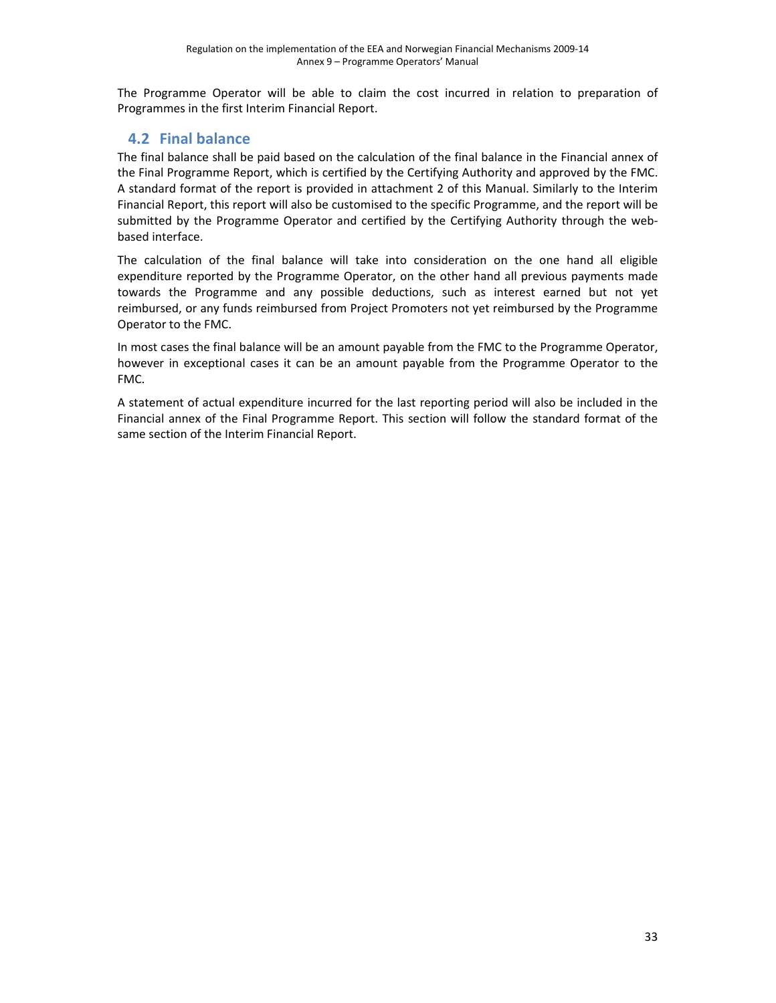The Programme Operator will be able to claim the cost incurred in relation to preparation of Programmes in the first Interim Financial Report.

# **4.2 Final balance**

The final balance shall be paid based on the calculation of the final balance in the Financial annex of the Final Programme Report, which is certified by the Certifying Authority and approved by the FMC. A standard format of the report is provided in attachment 2 of this Manual. Similarly to the Interim Financial Report, this report will also be customised to the specific Programme, and the report will be submitted by the Programme Operator and certified by the Certifying Authority through the webbased interface.

The calculation of the final balance will take into consideration on the one hand all eligible expenditure reported by the Programme Operator, on the other hand all previous payments made towards the Programme and any possible deductions, such as interest earned but not yet reimbursed, or any funds reimbursed from Project Promoters not yet reimbursed by the Programme Operator to the FMC.

In most cases the final balance will be an amount payable from the FMC to the Programme Operator, however in exceptional cases it can be an amount payable from the Programme Operator to the FMC.

A statement of actual expenditure incurred for the last reporting period will also be included in the Financial annex of the Final Programme Report. This section will follow the standard format of the same section of the Interim Financial Report.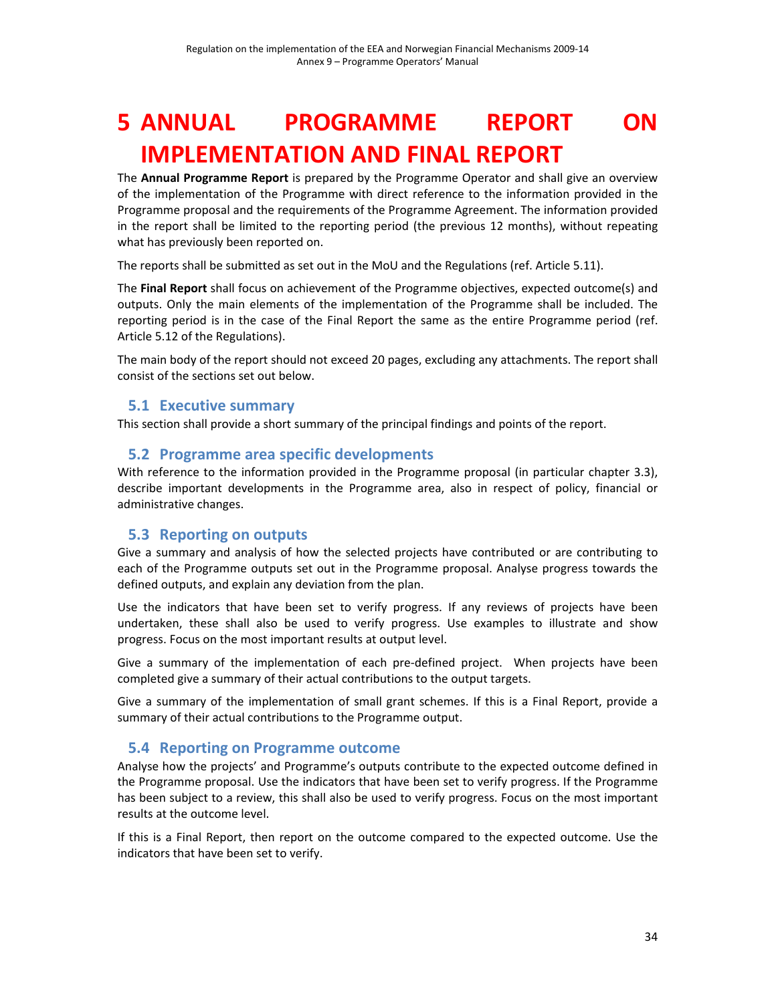# **5 ANNUAL PROGRAMME REPORT ON IMPLEMENTATION AND FINAL REPORT**

The **Annual Programme Report** is prepared by the Programme Operator and shall give an overview of the implementation of the Programme with direct reference to the information provided in the Programme proposal and the requirements of the Programme Agreement. The information provided in the report shall be limited to the reporting period (the previous 12 months), without repeating what has previously been reported on.

The reports shall be submitted as set out in the MoU and the Regulations (ref. Article 5.11).

The **Final Report** shall focus on achievement of the Programme objectives, expected outcome(s) and outputs. Only the main elements of the implementation of the Programme shall be included. The reporting period is in the case of the Final Report the same as the entire Programme period (ref. Article 5.12 of the Regulations).

The main body of the report should not exceed 20 pages, excluding any attachments. The report shall consist of the sections set out below.

## **5.1 Executive summary**

This section shall provide a short summary of the principal findings and points of the report.

## **5.2 Programme area specific developments**

With reference to the information provided in the Programme proposal (in particular chapter 3.3), describe important developments in the Programme area, also in respect of policy, financial or administrative changes.

## **5.3 Reporting on outputs**

Give a summary and analysis of how the selected projects have contributed or are contributing to each of the Programme outputs set out in the Programme proposal. Analyse progress towards the defined outputs, and explain any deviation from the plan.

Use the indicators that have been set to verify progress. If any reviews of projects have been undertaken, these shall also be used to verify progress. Use examples to illustrate and show progress. Focus on the most important results at output level.

Give a summary of the implementation of each pre-defined project. When projects have been completed give a summary of their actual contributions to the output targets.

Give a summary of the implementation of small grant schemes. If this is a Final Report, provide a summary of their actual contributions to the Programme output.

### **5.4 Reporting on Programme outcome**

Analyse how the projects' and Programme's outputs contribute to the expected outcome defined in the Programme proposal. Use the indicators that have been set to verify progress. If the Programme has been subject to a review, this shall also be used to verify progress. Focus on the most important results at the outcome level.

If this is a Final Report, then report on the outcome compared to the expected outcome. Use the indicators that have been set to verify.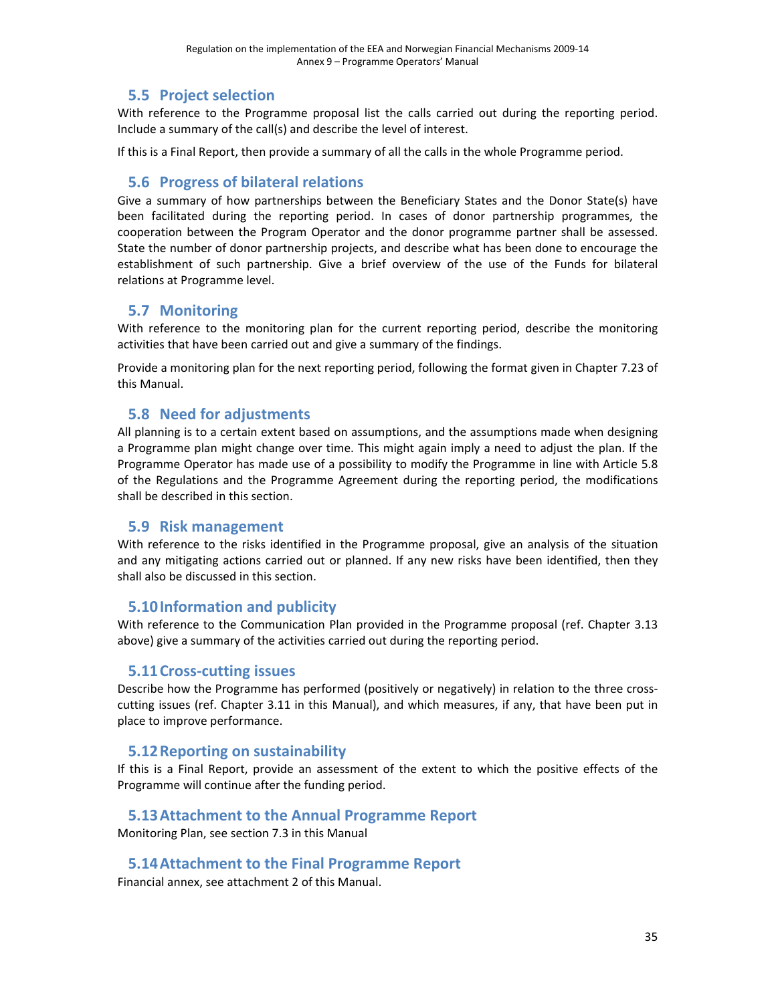# **5.5 Project selection**

With reference to the Programme proposal list the calls carried out during the reporting period. Include a summary of the call(s) and describe the level of interest.

If this is a Final Report, then provide a summary of all the calls in the whole Programme period.

## **5.6 Progress of bilateral relations**

Give a summary of how partnerships between the Beneficiary States and the Donor State(s) have been facilitated during the reporting period. In cases of donor partnership programmes, the cooperation between the Program Operator and the donor programme partner shall be assessed. State the number of donor partnership projects, and describe what has been done to encourage the establishment of such partnership. Give a brief overview of the use of the Funds for bilateral relations at Programme level.

## **5.7 Monitoring**

With reference to the monitoring plan for the current reporting period, describe the monitoring activities that have been carried out and give a summary of the findings.

Provide a monitoring plan for the next reporting period, following the format given in Chapter 7.23 of this Manual.

## **5.8 Need for adjustments**

All planning is to a certain extent based on assumptions, and the assumptions made when designing a Programme plan might change over time. This might again imply a need to adjust the plan. If the Programme Operator has made use of a possibility to modify the Programme in line with Article 5.8 of the Regulations and the Programme Agreement during the reporting period, the modifications shall be described in this section.

## **5.9 Risk management**

With reference to the risks identified in the Programme proposal, give an analysis of the situation and any mitigating actions carried out or planned. If any new risks have been identified, then they shall also be discussed in this section.

## **5.10Information and publicity**

With reference to the Communication Plan provided in the Programme proposal (ref. Chapter 3.13 above) give a summary of the activities carried out during the reporting period.

## **5.11Cross‐cutting issues**

Describe how the Programme has performed (positively or negatively) in relation to the three crosscutting issues (ref. Chapter 3.11 in this Manual), and which measures, if any, that have been put in place to improve performance.

## **5.12Reporting on sustainability**

If this is a Final Report, provide an assessment of the extent to which the positive effects of the Programme will continue after the funding period.

## **5.13Attachment to the Annual Programme Report**

Monitoring Plan, see section 7.3 in this Manual

## **5.14Attachment to the Final Programme Report**

Financial annex, see attachment 2 of this Manual.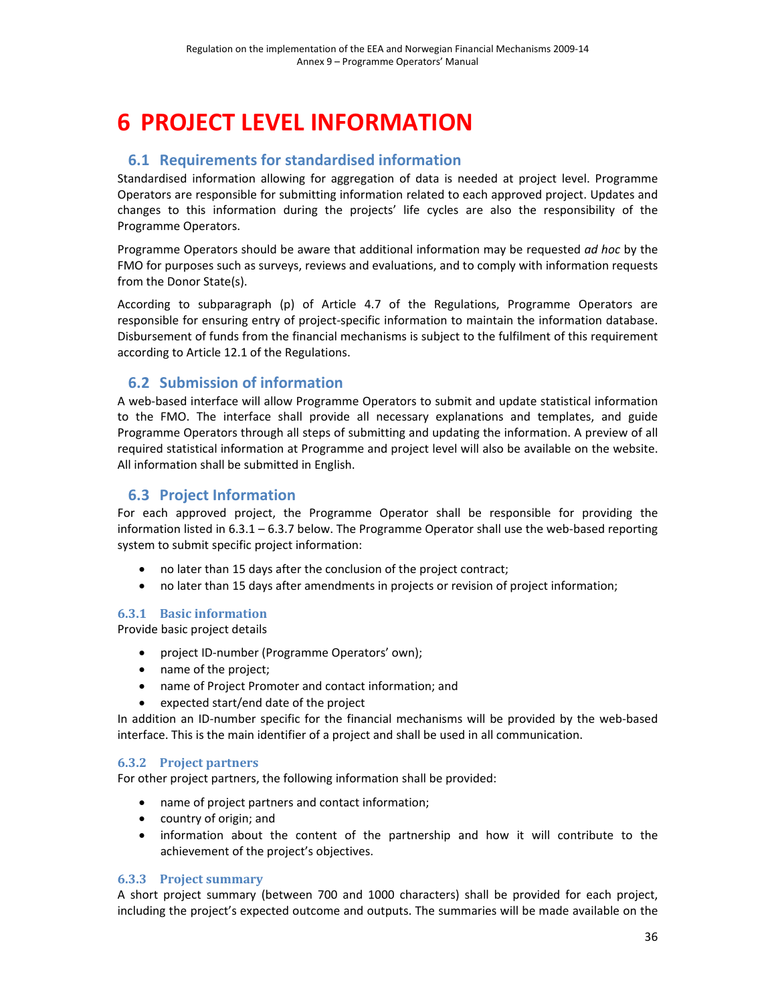# **6 PROJECT LEVEL INFORMATION**

# **6.1 Requirements for standardised information**

Standardised information allowing for aggregation of data is needed at project level. Programme Operators are responsible for submitting information related to each approved project. Updates and changes to this information during the projects' life cycles are also the responsibility of the Programme Operators.

Programme Operators should be aware that additional information may be requested *ad hoc* by the FMO for purposes such as surveys, reviews and evaluations, and to comply with information requests from the Donor State(s).

According to subparagraph (p) of Article 4.7 of the Regulations, Programme Operators are responsible for ensuring entry of project-specific information to maintain the information database. Disbursement of funds from the financial mechanisms is subject to the fulfilment of this requirement according to Article 12.1 of the Regulations.

# **6.2 Submission of information**

A web‐based interface will allow Programme Operators to submit and update statistical information to the FMO. The interface shall provide all necessary explanations and templates, and guide Programme Operators through all steps of submitting and updating the information. A preview of all required statistical information at Programme and project level will also be available on the website. All information shall be submitted in English.

# **6.3 Project Information**

For each approved project, the Programme Operator shall be responsible for providing the information listed in  $6.3.1 - 6.3.7$  below. The Programme Operator shall use the web-based reporting system to submit specific project information:

- no later than 15 days after the conclusion of the project contract;
- no later than 15 days after amendments in projects or revision of project information;

## **6.3.1 Basic information**

Provide basic project details

- project ID‐number (Programme Operators' own);
- name of the project;
- name of Project Promoter and contact information; and
- expected start/end date of the project

In addition an ID-number specific for the financial mechanisms will be provided by the web-based interface. This is the main identifier of a project and shall be used in all communication.

## **6.3.2 Project partners**

For other project partners, the following information shall be provided:

- name of project partners and contact information;
- country of origin; and
- information about the content of the partnership and how it will contribute to the achievement of the project's objectives.

## **6.3.3 Project summary**

A short project summary (between 700 and 1000 characters) shall be provided for each project, including the project's expected outcome and outputs. The summaries will be made available on the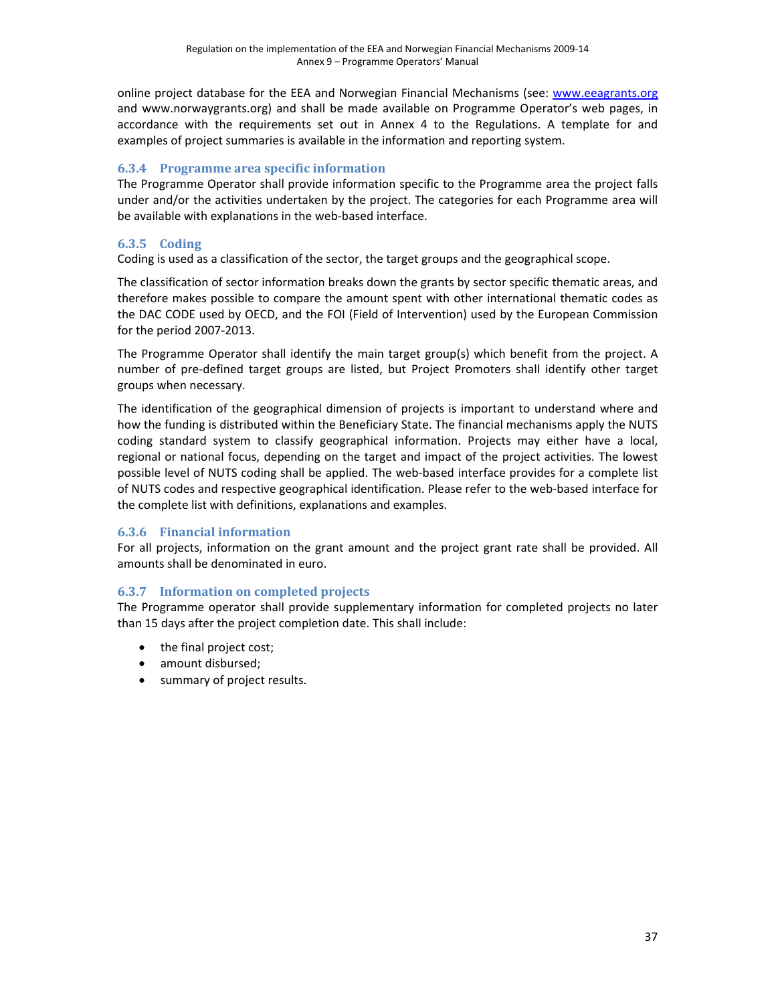online project database for the EEA and Norwegian Financial Mechanisms (see: www.eeagrants.org and www.norwaygrants.org) and shall be made available on Programme Operator's web pages, in accordance with the requirements set out in Annex 4 to the Regulations. A template for and examples of project summaries is available in the information and reporting system.

#### **6.3.4 Programme area specific information**

The Programme Operator shall provide information specific to the Programme area the project falls under and/or the activities undertaken by the project. The categories for each Programme area will be available with explanations in the web‐based interface.

### **6.3.5 Coding**

Coding is used as a classification of the sector, the target groups and the geographical scope.

The classification of sector information breaks down the grants by sector specific thematic areas, and therefore makes possible to compare the amount spent with other international thematic codes as the DAC CODE used by OECD, and the FOI (Field of Intervention) used by the European Commission for the period 2007‐2013.

The Programme Operator shall identify the main target group(s) which benefit from the project. A number of pre‐defined target groups are listed, but Project Promoters shall identify other target groups when necessary.

The identification of the geographical dimension of projects is important to understand where and how the funding is distributed within the Beneficiary State. The financial mechanisms apply the NUTS coding standard system to classify geographical information. Projects may either have a local, regional or national focus, depending on the target and impact of the project activities. The lowest possible level of NUTS coding shall be applied. The web‐based interface provides for a complete list of NUTS codes and respective geographical identification. Please refer to the web‐based interface for the complete list with definitions, explanations and examples.

### **6.3.6 Financial information**

For all projects, information on the grant amount and the project grant rate shall be provided. All amounts shall be denominated in euro.

### **6.3.7 Information on completed projects**

The Programme operator shall provide supplementary information for completed projects no later than 15 days after the project completion date. This shall include:

- the final project cost;
- amount disbursed;
- summary of project results.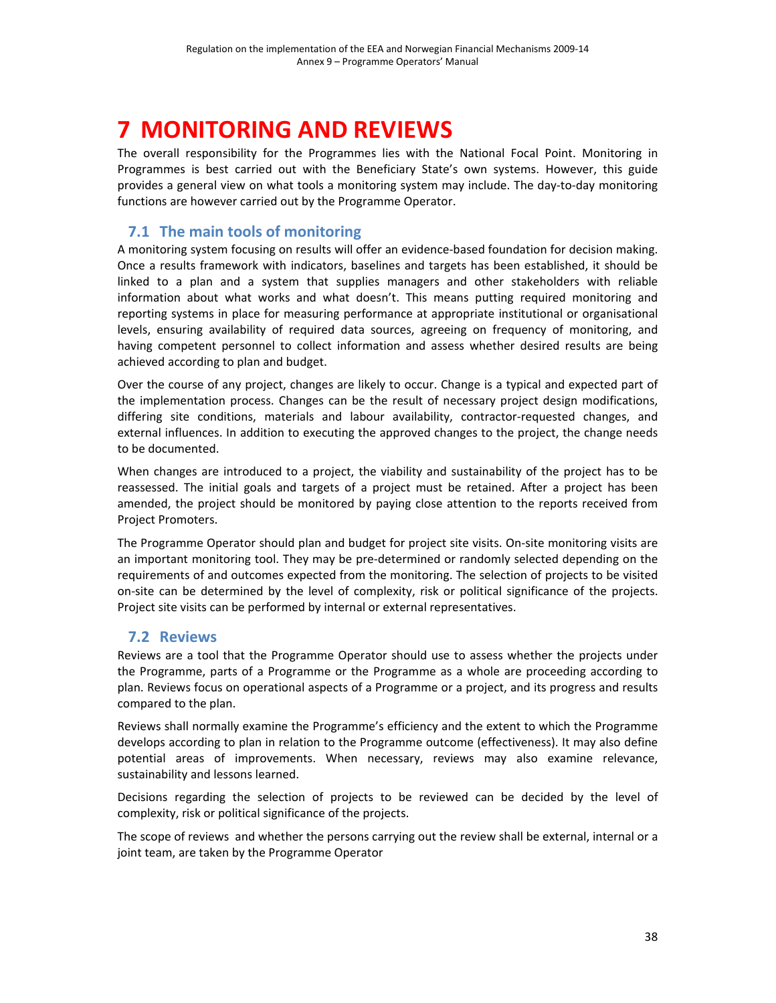# **7 MONITORING AND REVIEWS**

The overall responsibility for the Programmes lies with the National Focal Point. Monitoring in Programmes is best carried out with the Beneficiary State's own systems. However, this guide provides a general view on what tools a monitoring system may include. The day‐to‐day monitoring functions are however carried out by the Programme Operator.

# **7.1 The main tools of monitoring**

A monitoring system focusing on results will offer an evidence‐based foundation for decision making. Once a results framework with indicators, baselines and targets has been established, it should be linked to a plan and a system that supplies managers and other stakeholders with reliable information about what works and what doesn't. This means putting required monitoring and reporting systems in place for measuring performance at appropriate institutional or organisational levels, ensuring availability of required data sources, agreeing on frequency of monitoring, and having competent personnel to collect information and assess whether desired results are being achieved according to plan and budget.

Over the course of any project, changes are likely to occur. Change is a typical and expected part of the implementation process. Changes can be the result of necessary project design modifications, differing site conditions, materials and labour availability, contractor‐requested changes, and external influences. In addition to executing the approved changes to the project, the change needs to be documented.

When changes are introduced to a project, the viability and sustainability of the project has to be reassessed. The initial goals and targets of a project must be retained. After a project has been amended, the project should be monitored by paying close attention to the reports received from Project Promoters.

The Programme Operator should plan and budget for project site visits. On-site monitoring visits are an important monitoring tool. They may be pre‐determined or randomly selected depending on the requirements of and outcomes expected from the monitoring. The selection of projects to be visited on‐site can be determined by the level of complexity, risk or political significance of the projects. Project site visits can be performed by internal or external representatives.

## **7.2 Reviews**

Reviews are a tool that the Programme Operator should use to assess whether the projects under the Programme, parts of a Programme or the Programme as a whole are proceeding according to plan. Reviews focus on operational aspects of a Programme or a project, and its progress and results compared to the plan.

Reviews shall normally examine the Programme's efficiency and the extent to which the Programme develops according to plan in relation to the Programme outcome (effectiveness). It may also define potential areas of improvements. When necessary, reviews may also examine relevance, sustainability and lessons learned.

Decisions regarding the selection of projects to be reviewed can be decided by the level of complexity, risk or political significance of the projects.

The scope of reviews and whether the persons carrying out the review shall be external, internal or a joint team, are taken by the Programme Operator